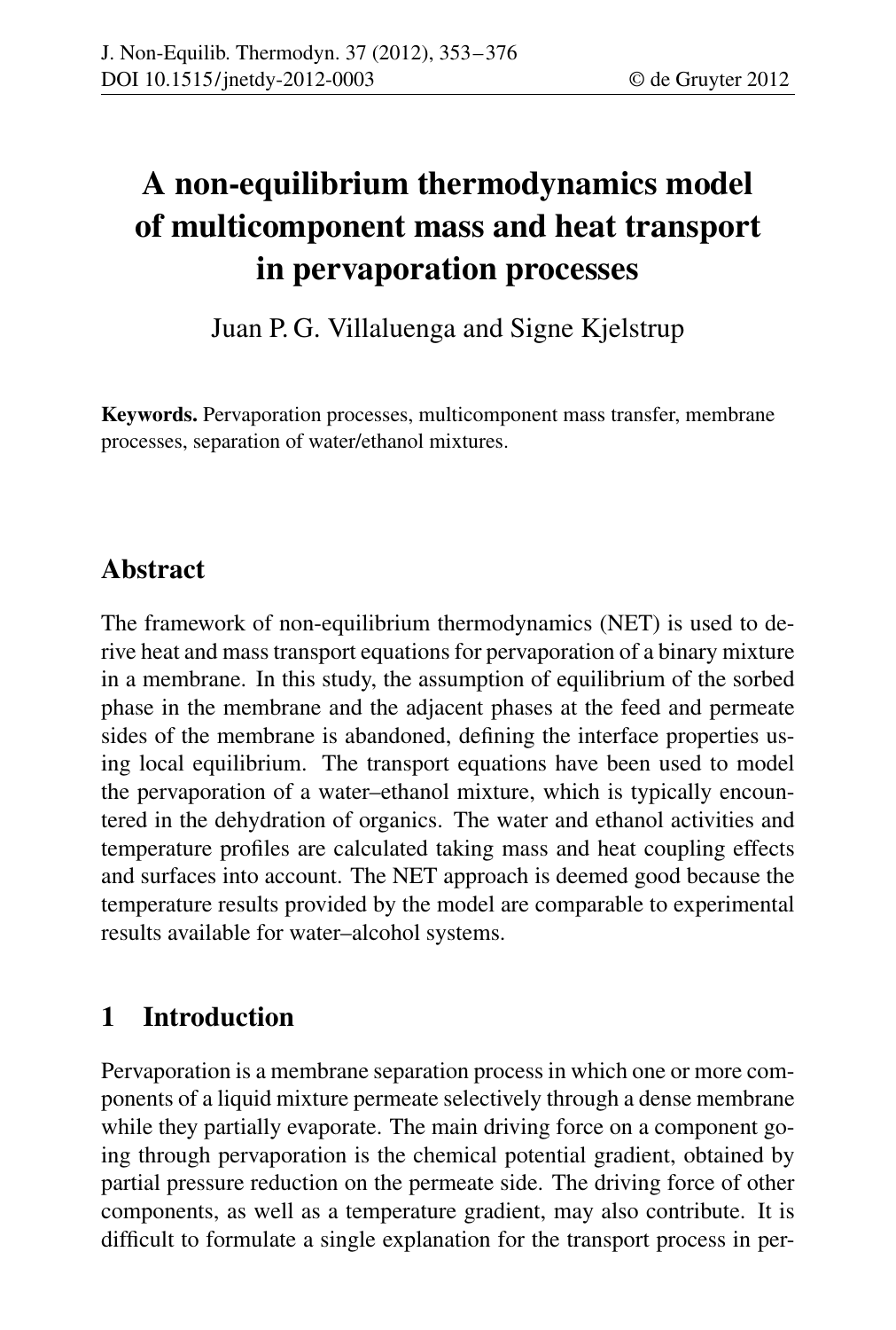# A non-equilibrium thermodynamics model of multicomponent mass and heat transport in pervaporation processes

Juan P. G. Villaluenga and Signe Kjelstrup

Keywords. Pervaporation processes, multicomponent mass transfer, membrane processes, separation of water/ethanol mixtures.

## Abstract

The framework of non-equilibrium thermodynamics (NET) is used to derive heat and mass transport equations for pervaporation of a binary mixture in a membrane. In this study, the assumption of equilibrium of the sorbed phase in the membrane and the adjacent phases at the feed and permeate sides of the membrane is abandoned, defining the interface properties using local equilibrium. The transport equations have been used to model the pervaporation of a water–ethanol mixture, which is typically encountered in the dehydration of organics. The water and ethanol activities and temperature profiles are calculated taking mass and heat coupling effects and surfaces into account. The NET approach is deemed good because the temperature results provided by the model are comparable to experimental results available for water–alcohol systems.

## 1 Introduction

Pervaporation is a membrane separation process in which one or more components of a liquid mixture permeate selectively through a dense membrane while they partially evaporate. The main driving force on a component going through pervaporation is the chemical potential gradient, obtained by partial pressure reduction on the permeate side. The driving force of other components, as well as a temperature gradient, may also contribute. It is difficult to formulate a single explanation for the transport process in per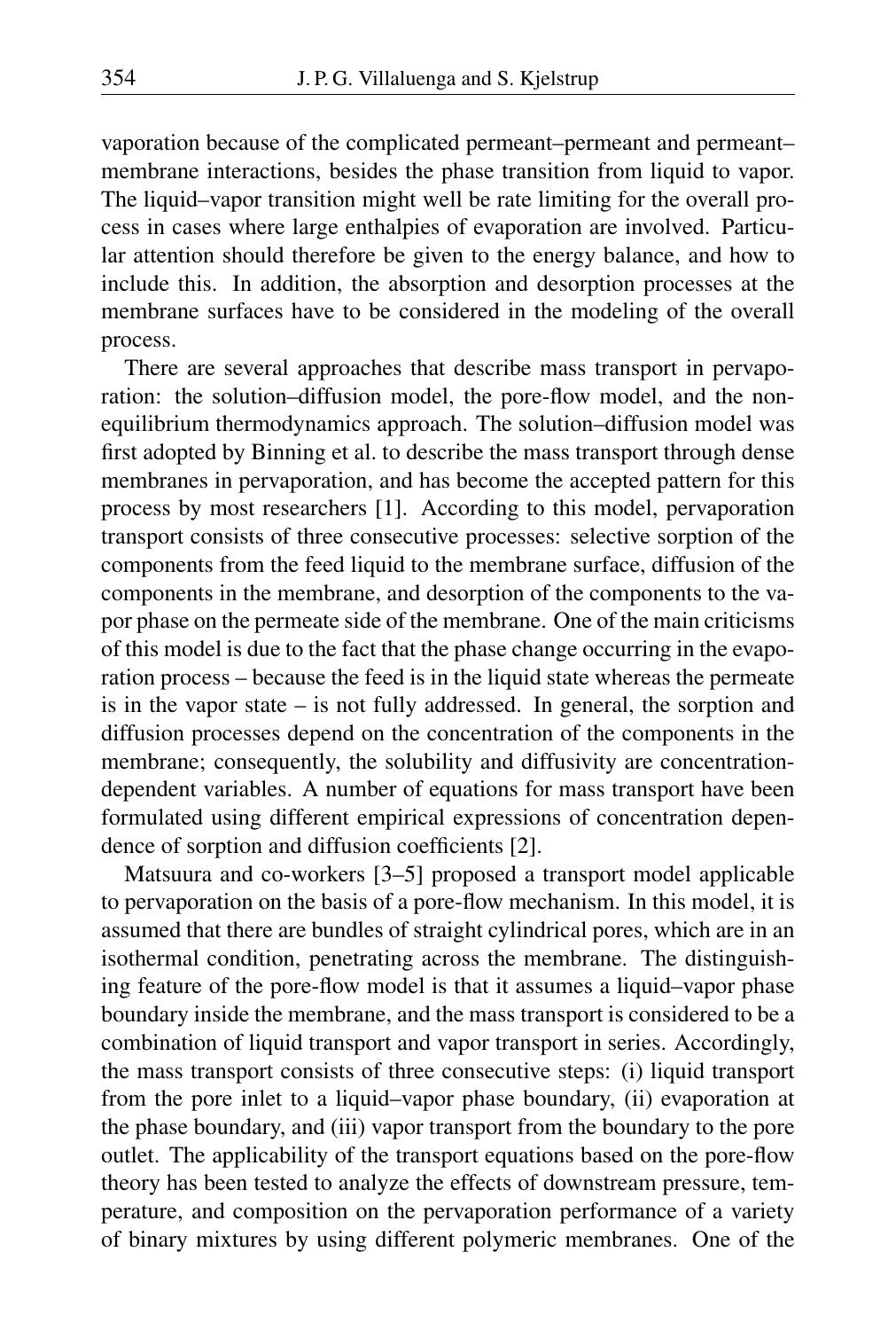vaporation because of the complicated permeant–permeant and permeant– membrane interactions, besides the phase transition from liquid to vapor. The liquid–vapor transition might well be rate limiting for the overall process in cases where large enthalpies of evaporation are involved. Particular attention should therefore be given to the energy balance, and how to include this. In addition, the absorption and desorption processes at the membrane surfaces have to be considered in the modeling of the overall process.

There are several approaches that describe mass transport in pervaporation: the solution–diffusion model, the pore-flow model, and the nonequilibrium thermodynamics approach. The solution–diffusion model was first adopted by Binning et al. to describe the mass transport through dense membranes in pervaporation, and has become the accepted pattern for this process by most researchers [1]. According to this model, pervaporation transport consists of three consecutive processes: selective sorption of the components from the feed liquid to the membrane surface, diffusion of the components in the membrane, and desorption of the components to the vapor phase on the permeate side of the membrane. One of the main criticisms of this model is due to the fact that the phase change occurring in the evaporation process – because the feed is in the liquid state whereas the permeate is in the vapor state – is not fully addressed. In general, the sorption and diffusion processes depend on the concentration of the components in the membrane; consequently, the solubility and diffusivity are concentrationdependent variables. A number of equations for mass transport have been formulated using different empirical expressions of concentration dependence of sorption and diffusion coefficients [2].

Matsuura and co-workers [3–5] proposed a transport model applicable to pervaporation on the basis of a pore-flow mechanism. In this model, it is assumed that there are bundles of straight cylindrical pores, which are in an isothermal condition, penetrating across the membrane. The distinguishing feature of the pore-flow model is that it assumes a liquid–vapor phase boundary inside the membrane, and the mass transport is considered to be a combination of liquid transport and vapor transport in series. Accordingly, the mass transport consists of three consecutive steps: (i) liquid transport from the pore inlet to a liquid–vapor phase boundary, (ii) evaporation at the phase boundary, and (iii) vapor transport from the boundary to the pore outlet. The applicability of the transport equations based on the pore-flow theory has been tested to analyze the effects of downstream pressure, temperature, and composition on the pervaporation performance of a variety of binary mixtures by using different polymeric membranes. One of the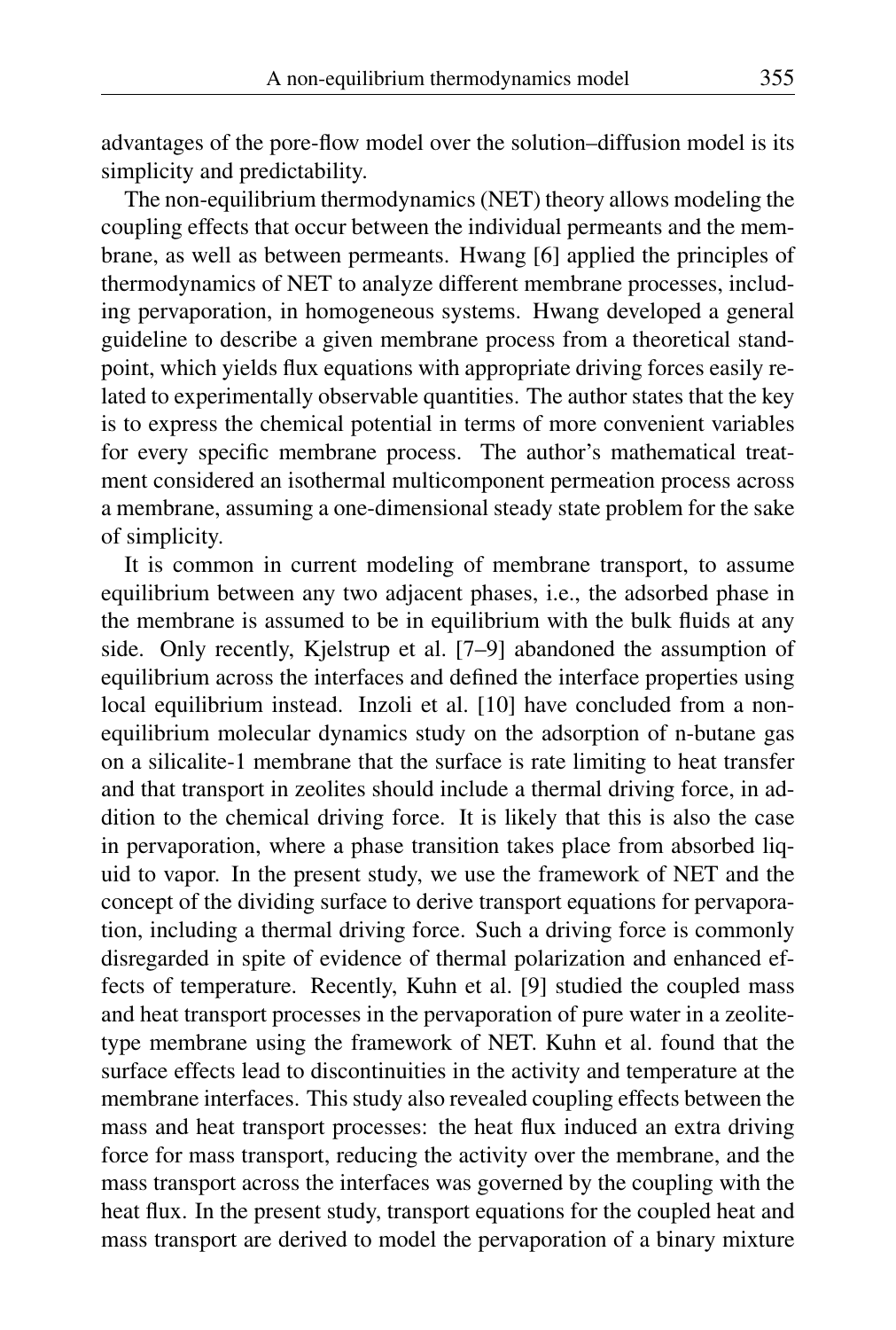advantages of the pore-flow model over the solution–diffusion model is its simplicity and predictability.

The non-equilibrium thermodynamics (NET) theory allows modeling the coupling effects that occur between the individual permeants and the membrane, as well as between permeants. Hwang [6] applied the principles of thermodynamics of NET to analyze different membrane processes, including pervaporation, in homogeneous systems. Hwang developed a general guideline to describe a given membrane process from a theoretical standpoint, which yields flux equations with appropriate driving forces easily related to experimentally observable quantities. The author states that the key is to express the chemical potential in terms of more convenient variables for every specific membrane process. The author's mathematical treatment considered an isothermal multicomponent permeation process across a membrane, assuming a one-dimensional steady state problem for the sake of simplicity.

It is common in current modeling of membrane transport, to assume equilibrium between any two adjacent phases, i.e., the adsorbed phase in the membrane is assumed to be in equilibrium with the bulk fluids at any side. Only recently, Kjelstrup et al. [7–9] abandoned the assumption of equilibrium across the interfaces and defined the interface properties using local equilibrium instead. Inzoli et al. [10] have concluded from a nonequilibrium molecular dynamics study on the adsorption of n-butane gas on a silicalite-1 membrane that the surface is rate limiting to heat transfer and that transport in zeolites should include a thermal driving force, in addition to the chemical driving force. It is likely that this is also the case in pervaporation, where a phase transition takes place from absorbed liquid to vapor. In the present study, we use the framework of NET and the concept of the dividing surface to derive transport equations for pervaporation, including a thermal driving force. Such a driving force is commonly disregarded in spite of evidence of thermal polarization and enhanced effects of temperature. Recently, Kuhn et al. [9] studied the coupled mass and heat transport processes in the pervaporation of pure water in a zeolitetype membrane using the framework of NET. Kuhn et al. found that the surface effects lead to discontinuities in the activity and temperature at the membrane interfaces. This study also revealed coupling effects between the mass and heat transport processes: the heat flux induced an extra driving force for mass transport, reducing the activity over the membrane, and the mass transport across the interfaces was governed by the coupling with the heat flux. In the present study, transport equations for the coupled heat and mass transport are derived to model the pervaporation of a binary mixture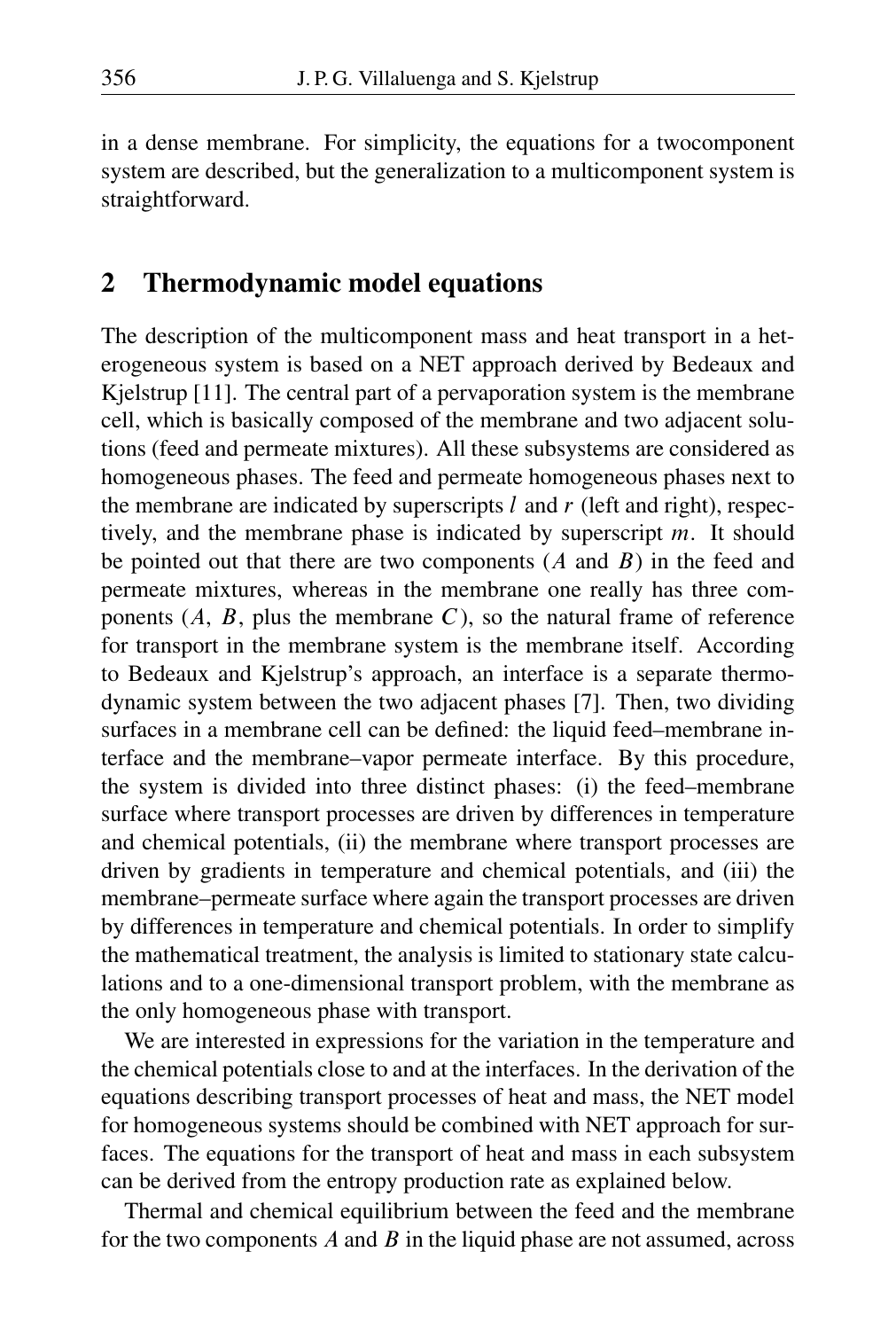in a dense membrane. For simplicity, the equations for a twocomponent system are described, but the generalization to a multicomponent system is straightforward.

### 2 Thermodynamic model equations

The description of the multicomponent mass and heat transport in a heterogeneous system is based on a NET approach derived by Bedeaux and Kjelstrup [11]. The central part of a pervaporation system is the membrane cell, which is basically composed of the membrane and two adjacent solutions (feed and permeate mixtures). All these subsystems are considered as homogeneous phases. The feed and permeate homogeneous phases next to the membrane are indicated by superscripts  $l$  and  $r$  (left and right), respectively, and the membrane phase is indicated by superscript  $m$ . It should be pointed out that there are two components  $(A \text{ and } B)$  in the feed and permeate mixtures, whereas in the membrane one really has three components  $(A, B,$  plus the membrane C), so the natural frame of reference for transport in the membrane system is the membrane itself. According to Bedeaux and Kjelstrup's approach, an interface is a separate thermodynamic system between the two adjacent phases [7]. Then, two dividing surfaces in a membrane cell can be defined: the liquid feed–membrane interface and the membrane–vapor permeate interface. By this procedure, the system is divided into three distinct phases: (i) the feed–membrane surface where transport processes are driven by differences in temperature and chemical potentials, (ii) the membrane where transport processes are driven by gradients in temperature and chemical potentials, and (iii) the membrane–permeate surface where again the transport processes are driven by differences in temperature and chemical potentials. In order to simplify the mathematical treatment, the analysis is limited to stationary state calculations and to a one-dimensional transport problem, with the membrane as the only homogeneous phase with transport.

We are interested in expressions for the variation in the temperature and the chemical potentials close to and at the interfaces. In the derivation of the equations describing transport processes of heat and mass, the NET model for homogeneous systems should be combined with NET approach for surfaces. The equations for the transport of heat and mass in each subsystem can be derived from the entropy production rate as explained below.

Thermal and chemical equilibrium between the feed and the membrane for the two components A and B in the liquid phase are not assumed, across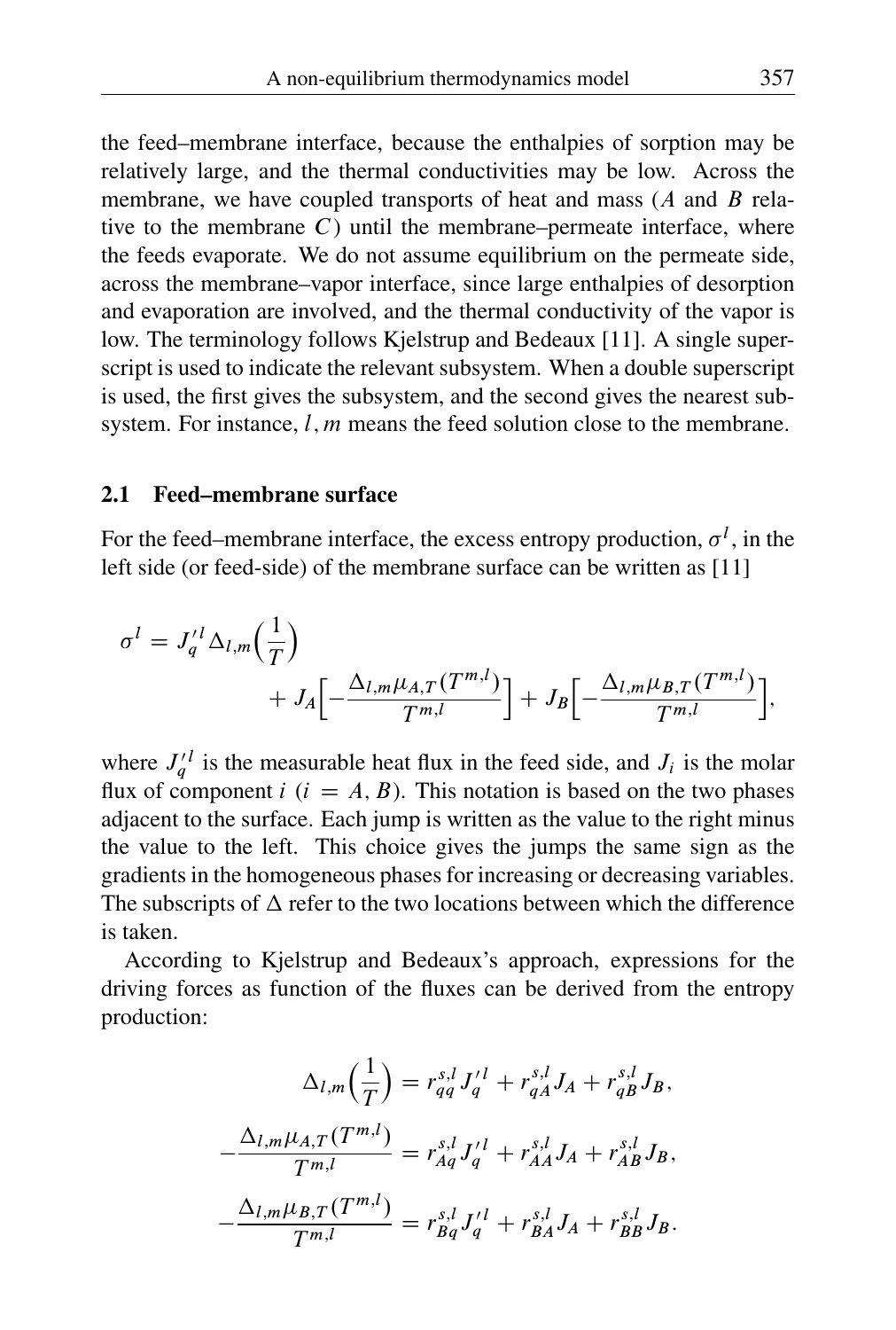the feed–membrane interface, because the enthalpies of sorption may be relatively large, and the thermal conductivities may be low. Across the membrane, we have coupled transports of heat and mass  $(A \text{ and } B \text{ rela-})$ tive to the membrane  $C$ ) until the membrane–permeate interface, where the feeds evaporate. We do not assume equilibrium on the permeate side, across the membrane–vapor interface, since large enthalpies of desorption and evaporation are involved, and the thermal conductivity of the vapor is low. The terminology follows Kjelstrup and Bedeaux [11]. A single superscript is used to indicate the relevant subsystem. When a double superscript is used, the first gives the subsystem, and the second gives the nearest subsystem. For instance,  $l, m$  means the feed solution close to the membrane.

#### 2.1 Feed–membrane surface

For the feed–membrane interface, the excess entropy production,  $\sigma^l$ , in the left side (or feed-side) of the membrane surface can be written as [11]

$$
\sigma^{l} = J_{q}^{\prime l} \Delta_{l,m} \left( \frac{1}{T} \right)
$$
  
+  $J_{A} \left[ -\frac{\Delta_{l,m} \mu_{A,T}(T^{m,l})}{T^{m,l}} \right] + J_{B} \left[ -\frac{\Delta_{l,m} \mu_{B,T}(T^{m,l})}{T^{m,l}} \right],$ 

where  $J_q^{\prime l}$  is the measurable heat flux in the feed side, and  $J_i$  is the molar flux of component  $i$  ( $i = A, B$ ). This notation is based on the two phases adjacent to the surface. Each jump is written as the value to the right minus the value to the left. This choice gives the jumps the same sign as the gradients in the homogeneous phases for increasing or decreasing variables. The subscripts of  $\Delta$  refer to the two locations between which the difference is taken.

According to Kjelstrup and Bedeaux's approach, expressions for the driving forces as function of the fluxes can be derived from the entropy production:

$$
\Delta_{l,m} \left( \frac{1}{T} \right) = r_{qq}^{s,l} J_{q}^{'l} + r_{qA}^{s,l} J_A + r_{qB}^{s,l} J_B,
$$
  

$$
-\frac{\Delta_{l,m} \mu_{A,T}(T^{m,l})}{T^{m,l}} = r_{Aq}^{s,l} J_{q}^{'l} + r_{AA}^{s,l} J_A + r_{AB}^{s,l} J_B,
$$
  

$$
-\frac{\Delta_{l,m} \mu_{B,T}(T^{m,l})}{T^{m,l}} = r_{Bq}^{s,l} J_{q}^{'l} + r_{BA}^{s,l} J_A + r_{BB}^{s,l} J_B.
$$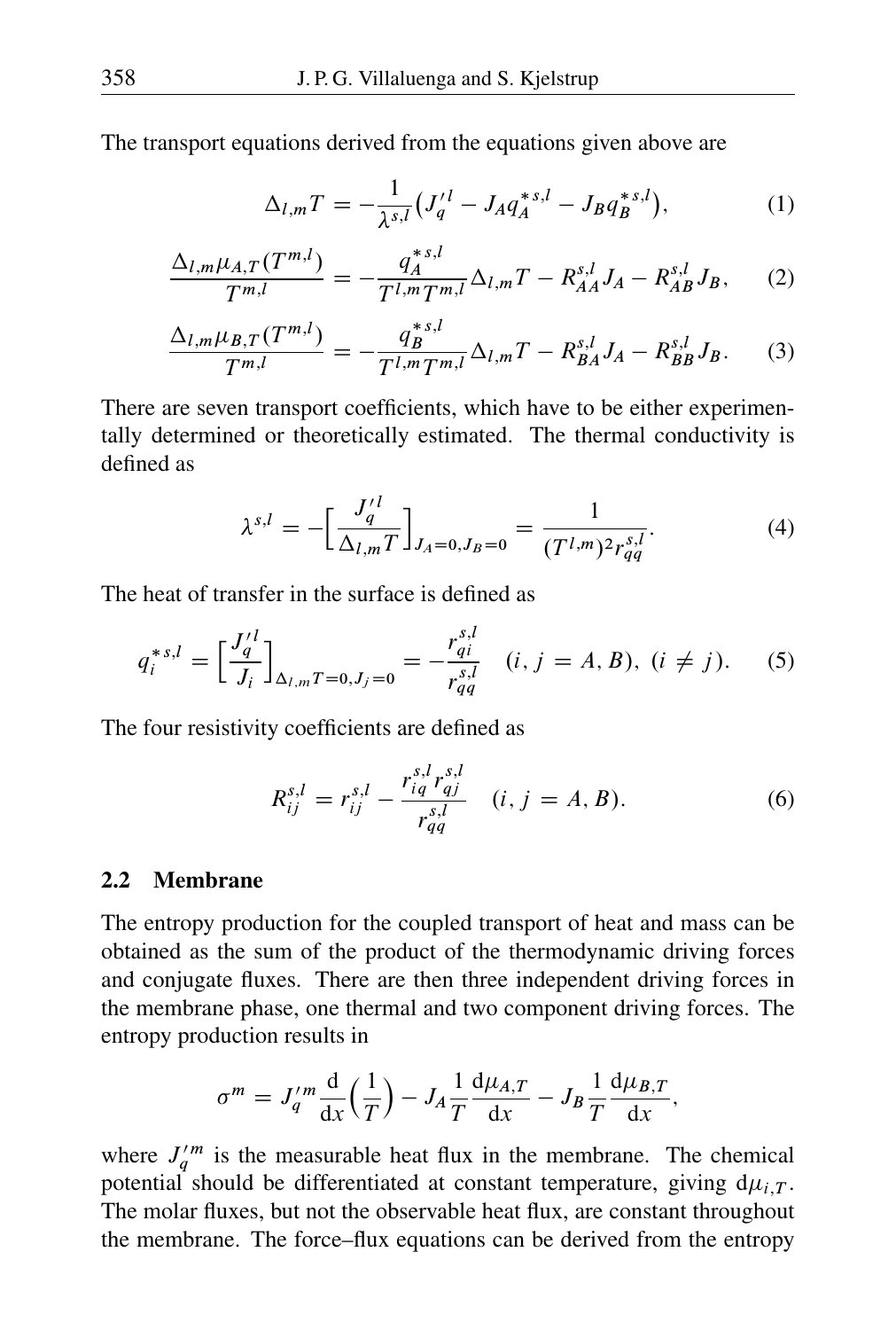The transport equations derived from the equations given above are

$$
\Delta_{l,m}T = -\frac{1}{\lambda^{s,l}} \big( J_q^{\prime\,l} - J_A q_A^{*s,l} - J_B q_B^{*s,l} \big),\tag{1}
$$

$$
\frac{\Delta_{l,m}\mu_{A,T}(T^{m,l})}{T^{m,l}} = -\frac{q_A^{*s,l}}{T^{l,m}T^{m,l}}\Delta_{l,m}T - R_{AA}^{s,l}J_A - R_{AB}^{s,l}J_B, \quad (2)
$$

$$
\frac{\Delta_{l,m}\mu_{B,T}(T^{m,l})}{T^{m,l}} = -\frac{q_B^{*s,l}}{T^{l,m}T^{m,l}}\Delta_{l,m}T - R_{BA}^{s,l}J_A - R_{BB}^{s,l}J_B. \tag{3}
$$

There are seven transport coefficients, which have to be either experimentally determined or theoretically estimated. The thermal conductivity is defined as

$$
\lambda^{s,l} = -\left[\frac{J_q^{l}}{\Delta_{l,m}T}\right]_{J_A=0, J_B=0} = \frac{1}{(T^{l,m})^2 r_{qq}^{s,l}}.
$$
\n(4)

The heat of transfer in the surface is defined as

$$
q_i^{*s,l} = \left[\frac{J_q'^l}{J_i}\right]_{\Delta_{l,m}T=0, J_j=0} = -\frac{r_{qi}^{s,l}}{r_{qq}^{s,l}} \quad (i, j = A, B), \ (i \neq j). \tag{5}
$$

The four resistivity coefficients are defined as

$$
R_{ij}^{s,l} = r_{ij}^{s,l} - \frac{r_{iq}^{s,l} r_{qj}^{s,l}}{r_{qq}^{s,l}} \quad (i, j = A, B). \tag{6}
$$

#### 2.2 Membrane

The entropy production for the coupled transport of heat and mass can be obtained as the sum of the product of the thermodynamic driving forces and conjugate fluxes. There are then three independent driving forces in the membrane phase, one thermal and two component driving forces. The entropy production results in

$$
\sigma^m = J_q^{\prime m} \frac{\mathrm{d}}{\mathrm{d}x} \Big(\frac{1}{T}\Big) - J_A \frac{1}{T} \frac{\mathrm{d}\mu_{A,T}}{\mathrm{d}x} - J_B \frac{1}{T} \frac{\mathrm{d}\mu_{B,T}}{\mathrm{d}x},
$$

where  $J_q^{\prime m}$  is the measurable heat flux in the membrane. The chemical potential should be differentiated at constant temperature, giving  $d\mu_{i,T}$ . The molar fluxes, but not the observable heat flux, are constant throughout the membrane. The force–flux equations can be derived from the entropy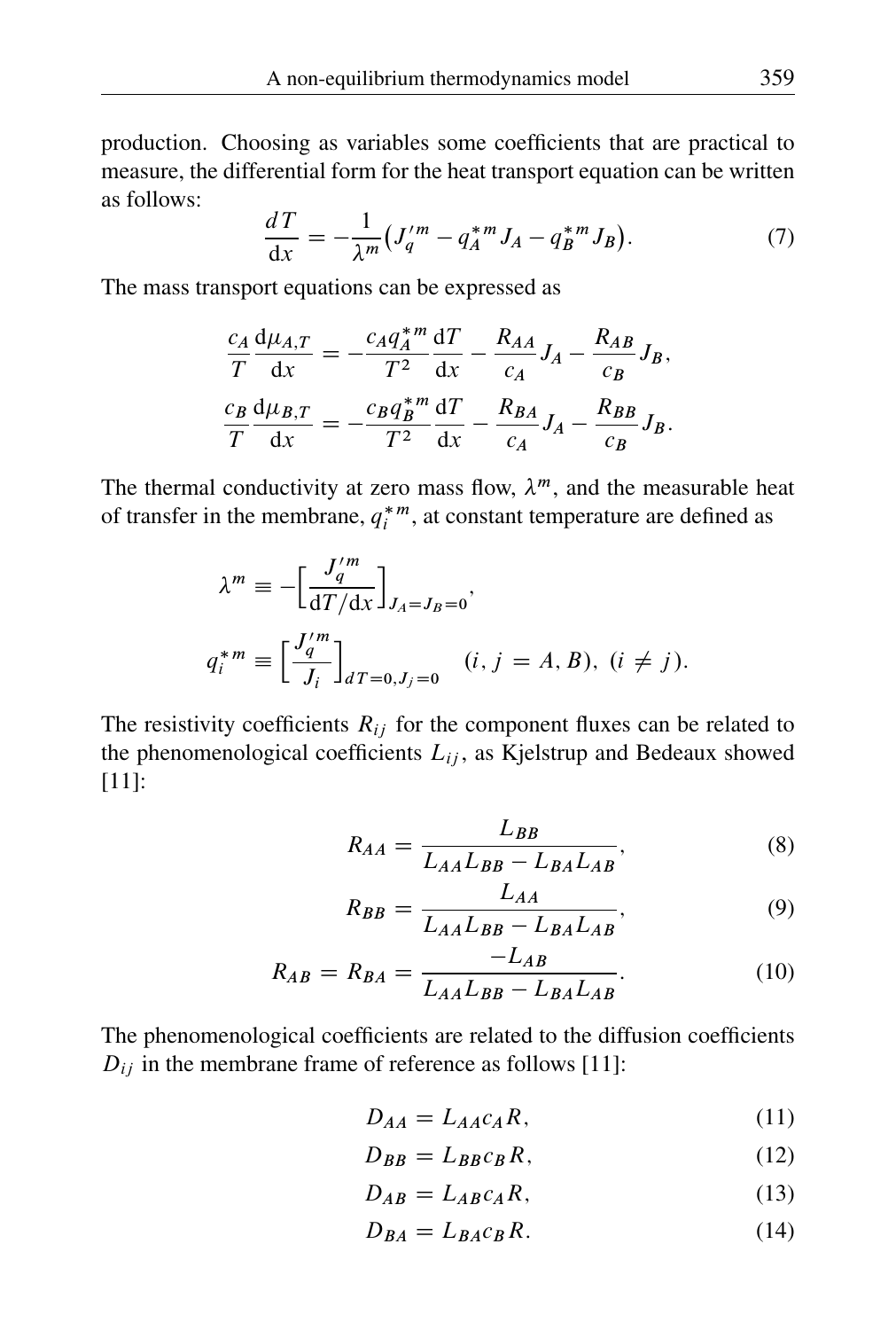production. Choosing as variables some coefficients that are practical to measure, the differential form for the heat transport equation can be written as follows:

$$
\frac{dT}{dx} = -\frac{1}{\lambda^m} \left( J_q^{'m} - q_A^{*m} J_A - q_B^{*m} J_B \right). \tag{7}
$$

The mass transport equations can be expressed as

$$
\frac{c_A}{T} \frac{\mathrm{d}\mu_{A,T}}{\mathrm{d}x} = -\frac{c_A q_A^{*m}}{T^2} \frac{\mathrm{d}T}{\mathrm{d}x} - \frac{R_{AA}}{c_A} J_A - \frac{R_{AB}}{c_B} J_B,
$$
\n
$$
\frac{c_B}{T} \frac{\mathrm{d}\mu_{B,T}}{\mathrm{d}x} = -\frac{c_B q_B^{*m}}{T^2} \frac{\mathrm{d}T}{\mathrm{d}x} - \frac{R_{BA}}{c_A} J_A - \frac{R_{BB}}{c_B} J_B.
$$

The thermal conductivity at zero mass flow,  $\lambda^m$ , and the measurable heat of transfer in the membrane,  $q_i^{*m}$ , at constant temperature are defined as

$$
\lambda^m \equiv -\left[\frac{J_q^{'m}}{\mathrm{d}T/\mathrm{d}x}\right]_{J_A = J_B = 0},
$$
  

$$
q_i^{*m} \equiv \left[\frac{J_q^{'m}}{J_i}\right]_{dT = 0, J_j = 0} (i, j = A, B), (i \neq j).
$$

The resistivity coefficients  $R_{ij}$  for the component fluxes can be related to the phenomenological coefficients  $L_{ij}$ , as Kjelstrup and Bedeaux showed [11]:

$$
R_{AA} = \frac{L_{BB}}{L_{AA}L_{BB} - L_{BA}L_{AB}},\tag{8}
$$

$$
R_{BB} = \frac{L_{AA}}{L_{AA}L_{BB} - L_{BA}L_{AB}},\tag{9}
$$

$$
R_{AB} = R_{BA} = \frac{-L_{AB}}{L_{AA}L_{BB} - L_{BA}L_{AB}}.\tag{10}
$$

The phenomenological coefficients are related to the diffusion coefficients  $D_{ij}$  in the membrane frame of reference as follows [11]:

$$
D_{AA} = L_{AA}c_A R, \qquad (11)
$$

$$
D_{BB} = L_{BB} c_B R, \tag{12}
$$

$$
D_{AB} = L_{AB} c_A R, \qquad (13)
$$

$$
D_{BA} = L_{BA} c_B R. \tag{14}
$$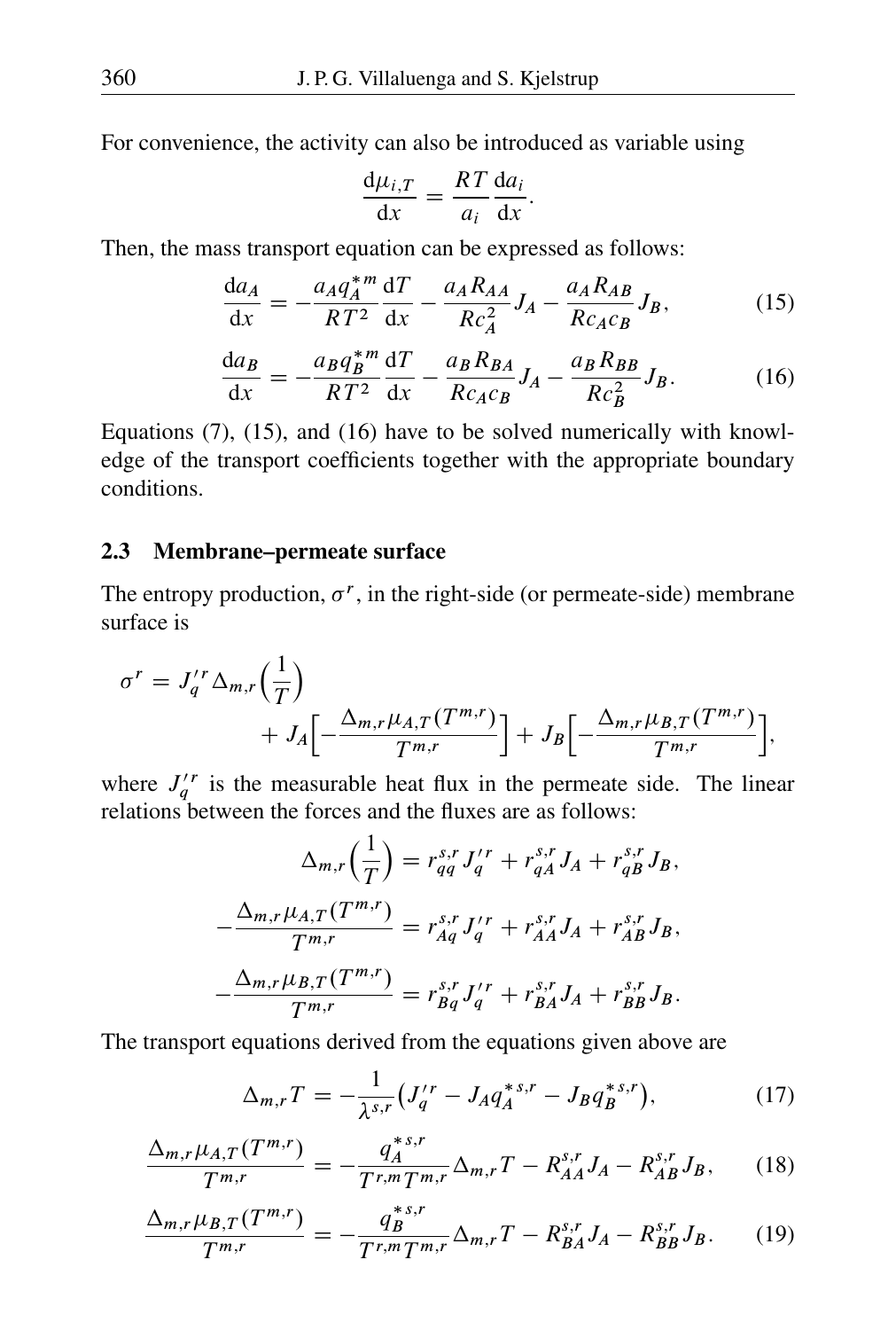For convenience, the activity can also be introduced as variable using

$$
\frac{\mathrm{d}\mu_{i,T}}{\mathrm{d}x} = \frac{RT}{a_i} \frac{\mathrm{d}a_i}{\mathrm{d}x}.
$$

Then, the mass transport equation can be expressed as follows:

$$
\frac{da_A}{dx} = -\frac{a_A q_A^{*m}}{RT^2} \frac{dT}{dx} - \frac{a_A R_{AA}}{R c_A^2} J_A - \frac{a_A R_{AB}}{R c_A c_B} J_B, \tag{15}
$$

$$
\frac{\mathrm{d}a_B}{\mathrm{d}x} = -\frac{a_B q_B^{*m}}{RT^2} \frac{\mathrm{d}T}{\mathrm{d}x} - \frac{a_B R_{BA}}{R c_A c_B} J_A - \frac{a_B R_{BB}}{R c_B^2} J_B. \tag{16}
$$

Equations (7), (15), and (16) have to be solved numerically with knowledge of the transport coefficients together with the appropriate boundary conditions.

#### 2.3 Membrane–permeate surface

The entropy production,  $\sigma^r$ , in the right-side (or permeate-side) membrane surface is

$$
\sigma^{r} = J_{q}^{'r} \Delta_{m,r} \left(\frac{1}{T}\right) + J_{A} \left[ -\frac{\Delta_{m,r} \mu_{A,T}(T^{m,r})}{T^{m,r}} \right] + J_{B} \left[ -\frac{\Delta_{m,r} \mu_{B,T}(T^{m,r})}{T^{m,r}} \right],
$$

where  $J_q^{\prime r}$  is the measurable heat flux in the permeate side. The linear relations between the forces and the fluxes are as follows:

$$
\Delta_{m,r} \left( \frac{1}{T} \right) = r_{qq}^{s,r} J_q^{'r} + r_{qA}^{s,r} J_A + r_{qB}^{s,r} J_B,
$$
  

$$
-\frac{\Delta_{m,r} \mu_{A,T}(T^{m,r})}{T^{m,r}} = r_{Aq}^{s,r} J_q^{'r} + r_{AA}^{s,r} J_A + r_{AB}^{s,r} J_B,
$$
  

$$
-\frac{\Delta_{m,r} \mu_{B,T}(T^{m,r})}{T^{m,r}} = r_{Bq}^{s,r} J_q^{'r} + r_{BA}^{s,r} J_A + r_{BB}^{s,r} J_B.
$$

The transport equations derived from the equations given above are

$$
\Delta_{m,r}T = -\frac{1}{\lambda^{s,r}} \left( J_q^{'r} - J_A q_A^{*s,r} - J_B q_B^{*s,r} \right),\tag{17}
$$

$$
\frac{\Delta_{m,r}\mu_{A,T}(T^{m,r})}{T^{m,r}} = -\frac{q_A^{*,r}}{T^{r,m}T^{m,r}}\Delta_{m,r}T - R_{AA}^{s,r}J_A - R_{AB}^{s,r}J_B,\qquad(18)
$$

$$
\frac{\Delta_{m,r} \mu_{B,T}(T^{m,r})}{T^{m,r}} = -\frac{q_B^{*,r}}{T^{r,m}T^{m,r}} \Delta_{m,r} T - R_{BA}^{s,r} J_A - R_{BB}^{s,r} J_B. \tag{19}
$$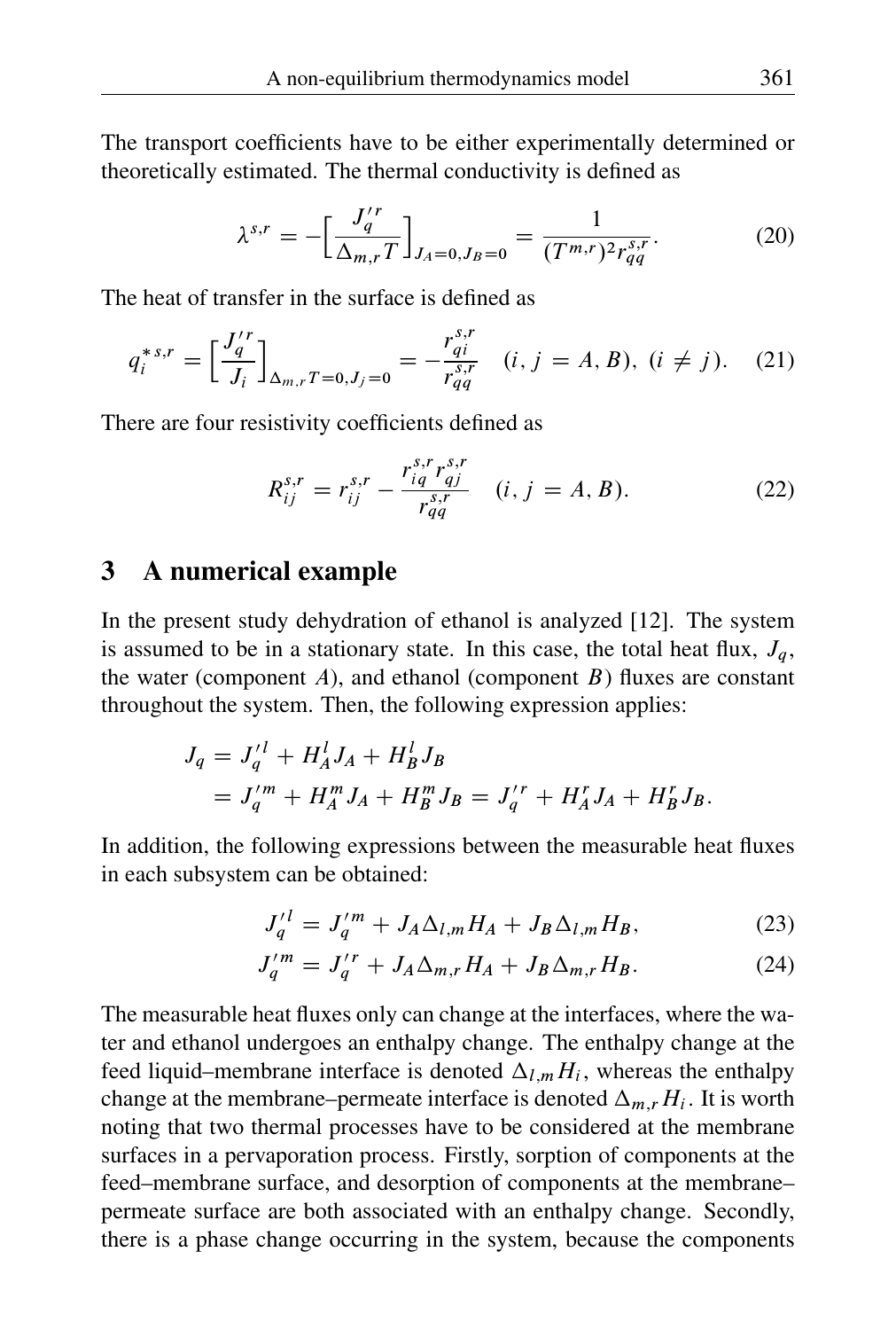The transport coefficients have to be either experimentally determined or theoretically estimated. The thermal conductivity is defined as

$$
\lambda^{s,r} = -\left[\frac{J_q^{'r}}{\Delta_{m,r}T}\right]_{J_A=0,J_B=0} = \frac{1}{(T^{m,r})^2 r_{qq}^{s,r}}.
$$
 (20)

The heat of transfer in the surface is defined as

$$
q_i^{*,r} = \left[\frac{J_q^{'r}}{J_i}\right]_{\Delta_{m,r}T=0, J_j=0} = -\frac{r_{qi}^{s,r}}{r_{qq}^{s,r}} \quad (i, j = A, B), \ (i \neq j). \tag{21}
$$

There are four resistivity coefficients defined as

$$
R_{ij}^{s,r} = r_{ij}^{s,r} - \frac{r_{iq}^{s,r} r_{qj}^{s,r}}{r_{qq}^{s,r}} \quad (i, j = A, B). \tag{22}
$$

### 3 A numerical example

In the present study dehydration of ethanol is analyzed [12]. The system is assumed to be in a stationary state. In this case, the total heat flux,  $J_q$ , the water (component A), and ethanol (component B) fluxes are constant throughout the system. Then, the following expression applies:

$$
J_q = J_q^{\prime l} + H_A^l J_A + H_B^l J_B
$$
  
=  $J_q^{\prime m} + H_A^m J_A + H_B^m J_B = J_q^{\prime r} + H_A^r J_A + H_B^r J_B.$ 

In addition, the following expressions between the measurable heat fluxes in each subsystem can be obtained:

$$
J_q'^{l} = J_q'^{m} + J_A \Delta_{l,m} H_A + J_B \Delta_{l,m} H_B,
$$
 (23)

$$
J_q^{'m} = J_q^{'r} + J_A \Delta_{m,r} H_A + J_B \Delta_{m,r} H_B.
$$
 (24)

The measurable heat fluxes only can change at the interfaces, where the water and ethanol undergoes an enthalpy change. The enthalpy change at the feed liquid–membrane interface is denoted  $\Delta_{l,m} H_i$ , whereas the enthalpy change at the membrane–permeate interface is denoted  $\Delta_{m,r} H_i$ . It is worth noting that two thermal processes have to be considered at the membrane surfaces in a pervaporation process. Firstly, sorption of components at the feed–membrane surface, and desorption of components at the membrane– permeate surface are both associated with an enthalpy change. Secondly, there is a phase change occurring in the system, because the components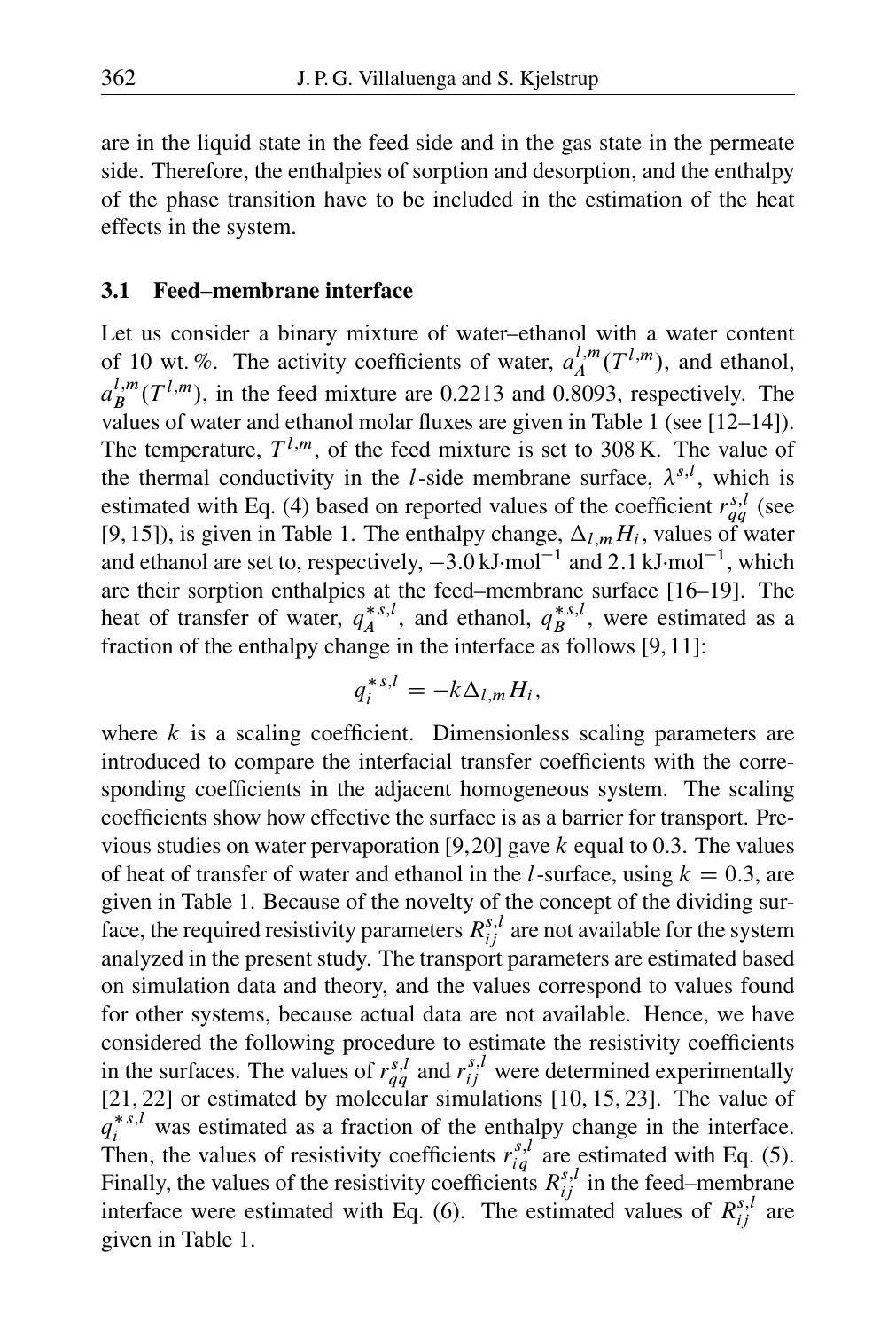are in the liquid state in the feed side and in the gas state in the permeate side. Therefore, the enthalpies of sorption and desorption, and the enthalpy of the phase transition have to be included in the estimation of the heat effects in the system.

#### 3.1 Feed–membrane interface

Let us consider a binary mixture of water–ethanol with a water content of 10 wt. %. The activity coefficients of water,  $a_A^{l,m}$  $\mathcal{L}_{A}^{l,m}(T^{l,m})$ , and ethanol,  $a_R^{l,m}$  $L_m^{l,m}(T^{l,m})$ , in the feed mixture are 0.2213 and 0.8093, respectively. The values of water and ethanol molar fluxes are given in Table 1 (see [12–14]). The temperature,  $T^{l,m}$ , of the feed mixture is set to 308 K. The value of the thermal conductivity in the *l*-side membrane surface,  $\lambda^{s,l}$ , which is estimated with Eq. (4) based on reported values of the coefficient  $r_{qq}^{s,l}$  (see [9, 15]), is given in Table 1. The enthalpy change,  $\Delta_{l,m} H_i$ , values of water and ethanol are set to, respectively,  $-3.0 \text{ kJ·mol}^{-1}$  and 2.1 kJ·mol<sup>-1</sup>, which are their sorption enthalpies at the feed–membrane surface [16–19]. The heat of transfer of water,  $q_A^{*,l}$  $q_B^{*,s,l}$ , and ethanol,  $q_B^{*,s,l}$  $\int_{B}^{*S,t}$ , were estimated as a fraction of the enthalpy change in the interface as follows [9, 11]:

$$
q_i^{*s,l} = -k\Delta_{l,m}H_i,
$$

where  $k$  is a scaling coefficient. Dimensionless scaling parameters are introduced to compare the interfacial transfer coefficients with the corresponding coefficients in the adjacent homogeneous system. The scaling coefficients show how effective the surface is as a barrier for transport. Previous studies on water pervaporation [9,20] gave  $k$  equal to 0.3. The values of heat of transfer of water and ethanol in the *l*-surface, using  $k = 0.3$ , are given in Table 1. Because of the novelty of the concept of the dividing surface, the required resistivity parameters  $R_{ij}^{s,l}$  are not available for the system analyzed in the present study. The transport parameters are estimated based on simulation data and theory, and the values correspond to values found for other systems, because actual data are not available. Hence, we have considered the following procedure to estimate the resistivity coefficients in the surfaces. The values of  $r_{qq}^{s,l}$  and  $r_{ij}^{s,l}$  were determined experimentally [21, 22] or estimated by molecular simulations [10, 15, 23]. The value of  $q_i^{*,s,l}$  was estimated as a fraction of the enthalpy change in the interface. Then, the values of resistivity coefficients  $r_{iq}^{s,l}$  are estimated with Eq. (5). Finally, the values of the resistivity coefficients  $R_{ij}^{s,l}$  in the feed–membrane interface were estimated with Eq. (6). The estimated values of  $R_{ij}^{s,l}$  are given in Table 1.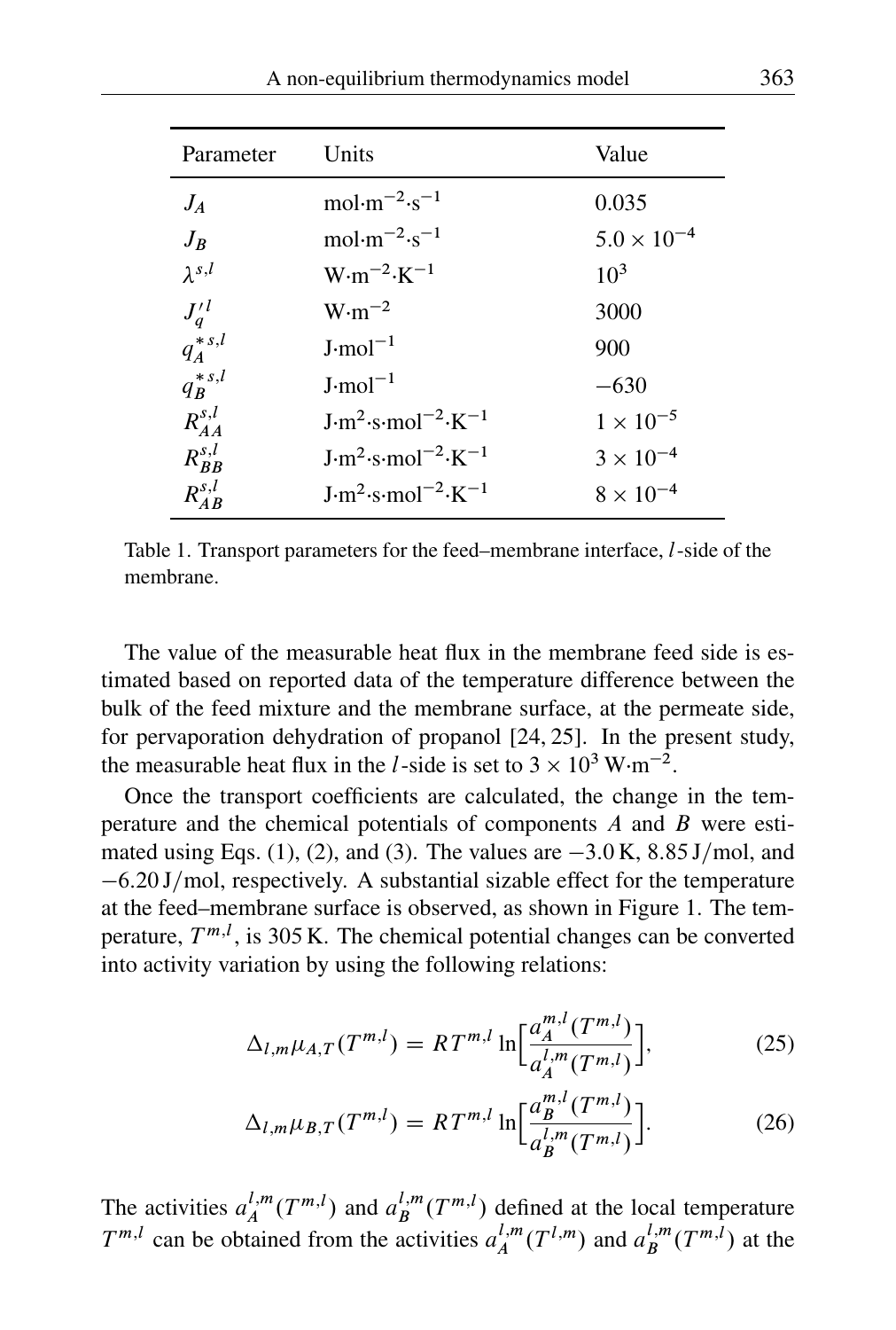| Parameter        | Units                                               | Value                |
|------------------|-----------------------------------------------------|----------------------|
| $J_A$            | mol $\cdot$ m <sup>-2</sup> $\cdot$ s <sup>-1</sup> | 0.035                |
| $J_R$            | mol $\cdot$ m <sup>-2</sup> $\cdot$ s <sup>-1</sup> | $5.0 \times 10^{-4}$ |
| $\lambda^{s,l}$  | $W \cdot m^{-2} \cdot K^{-1}$                       | 10 <sup>3</sup>      |
| $J_q^{\prime l}$ | $W \cdot m^{-2}$                                    | 3000                 |
| $q_A^{*s,l}$     | $J \cdot mol^{-1}$                                  | 900                  |
| $q_R^{*s,l}$     | $J \cdot mol^{-1}$                                  | $-630$               |
| $R_{AA}^{s,l}$   | $J·m2·s·mol-2·K-1$                                  | $1 \times 10^{-5}$   |
| $R_{BB}^{s,l}$   | $J·m2·s·mol-2·K-1$                                  | $3 \times 10^{-4}$   |
| $R^{s,l}$        | $J·m2·s·mol-2·K-1$                                  | $8 \times 10^{-4}$   |

Table 1. Transport parameters for the feed–membrane interface, l-side of the membrane.

The value of the measurable heat flux in the membrane feed side is estimated based on reported data of the temperature difference between the bulk of the feed mixture and the membrane surface, at the permeate side, for pervaporation dehydration of propanol [24, 25]. In the present study, the measurable heat flux in the *l*-side is set to  $3 \times 10^3$  W·m<sup>-2</sup>.

Once the transport coefficients are calculated, the change in the temperature and the chemical potentials of components A and B were estimated using Eqs. (1), (2), and (3). The values are  $-3.0$  K,  $8.85$  J/mol, and  $-6.20$  J/mol, respectively. A substantial sizable effect for the temperature at the feed–membrane surface is observed, as shown in Figure 1. The temperature,  $T^{m,l}$ , is 305 K. The chemical potential changes can be converted into activity variation by using the following relations:

$$
\Delta_{l,m} \mu_{A,T}(T^{m,l}) = RT^{m,l} \ln \left[ \frac{a_A^{m,l}(T^{m,l})}{a_A^{l,m}(T^{m,l})} \right],\tag{25}
$$

$$
\Delta_{l,m} \mu_{B,T}(T^{m,l}) = RT^{m,l} \ln \left[ \frac{a_B^{m,l}(T^{m,l})}{a_B^{l,m}(T^{m,l})} \right].
$$
 (26)

The activities  $a_A^{l,m}(T^{m,l})$  and  $a_B^{l,m}(T^{m,l})$  defined at the local temperature  $A \left( I \right)$  and  $u_B$  $T^{m,l}$  can be obtained from the activities  $a_A^{l,m}$  $\int_A^{l,m}(T^{l,m})$  and  $a_B^{l,m}$  $\binom{l,m}{B}(T^{m,l})$  at the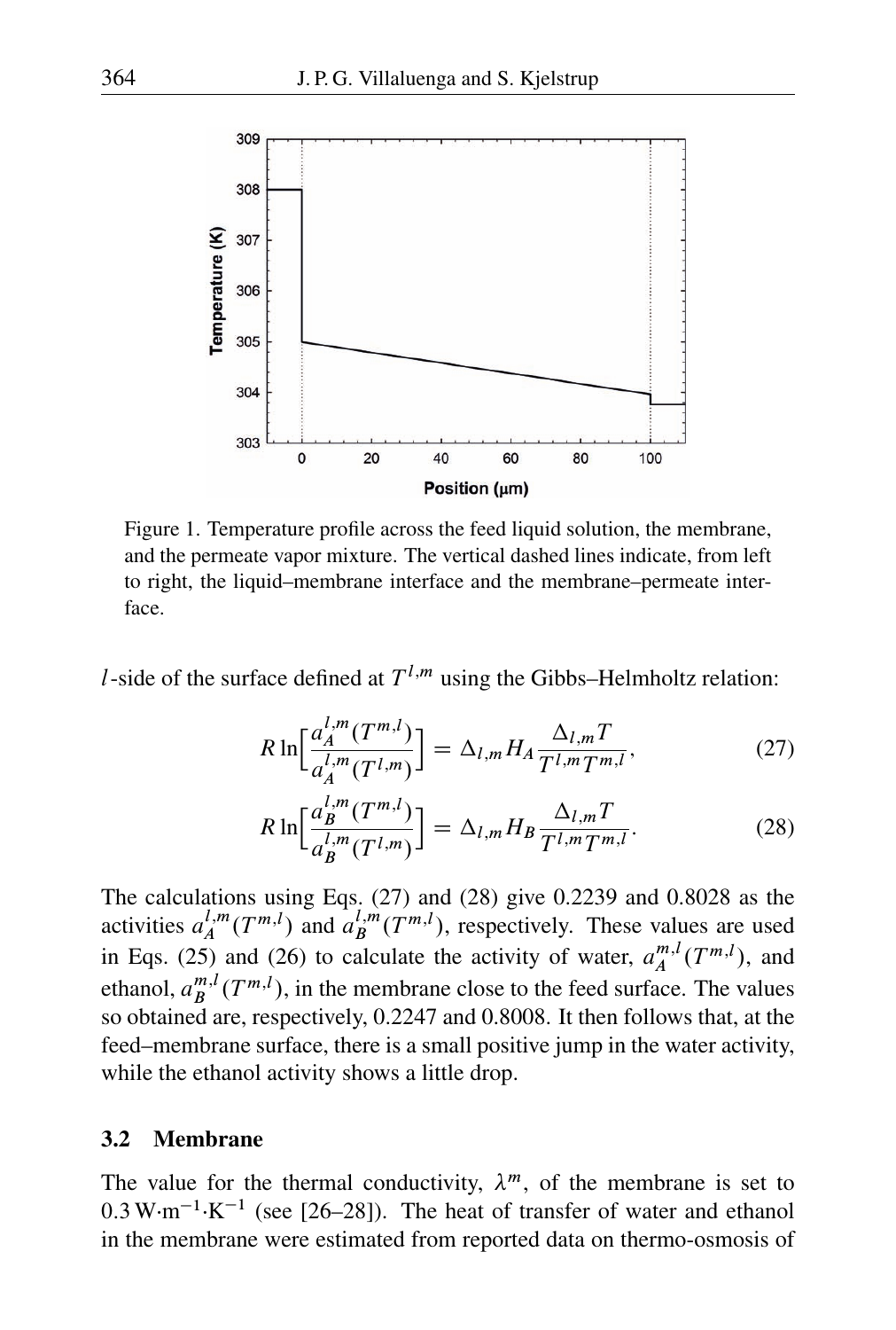

Figure 1. Temperature profile across the feed liquid solution, the membrane, and the permeate vapor mixture. The vertical dashed lines indicate, from left to right, the liquid–membrane interface and the membrane–permeate interface.

*l*-side of the surface defined at  $T^{l,m}$  using the Gibbs–Helmholtz relation:

$$
R\ln\left[\frac{a_A^{l,m}(T^{m,l})}{a_A^{l,m}(T^{l,m})}\right] = \Delta_{l,m} H_A \frac{\Delta_{l,m} T}{T^{l,m}T^{m,l}},\tag{27}
$$

$$
R\ln\left[\frac{a_B^{l,m}(T^{m,l})}{a_B^{l,m}(T^{l,m})}\right] = \Delta_{l,m}H_B\frac{\Delta_{l,m}T}{T^{l,m}T^{m,l}}.
$$
\n(28)

The calculations using Eqs. (27) and (28) give 0.2239 and 0.8028 as the activities  $a_A^{l,m}$  $\binom{l,m}{A}(T^{m,l})$  and  $\binom{l,m}{B}$  $\binom{l,m}{B}(T^{m,l})$ , respectively. These values are used in Eqs. (25) and (26) to calculate the activity of water,  $a_A^{m,l}$  $\mathcal{L}_{A}^{m,l}(T^{m,l}),$  and ethanol,  $a_R^{m,l}$  $_{B}^{m,l}(T^{m,l})$ , in the membrane close to the feed surface. The values so obtained are, respectively, 0.2247 and 0.8008. It then follows that, at the feed–membrane surface, there is a small positive jump in the water activity, while the ethanol activity shows a little drop.

#### 3.2 Membrane

The value for the thermal conductivity,  $\lambda^{m}$ , of the membrane is set to  $0.3 \text{ W} \cdot \text{m}^{-1} \cdot \text{K}^{-1}$  (see [26–28]). The heat of transfer of water and ethanol in the membrane were estimated from reported data on thermo-osmosis of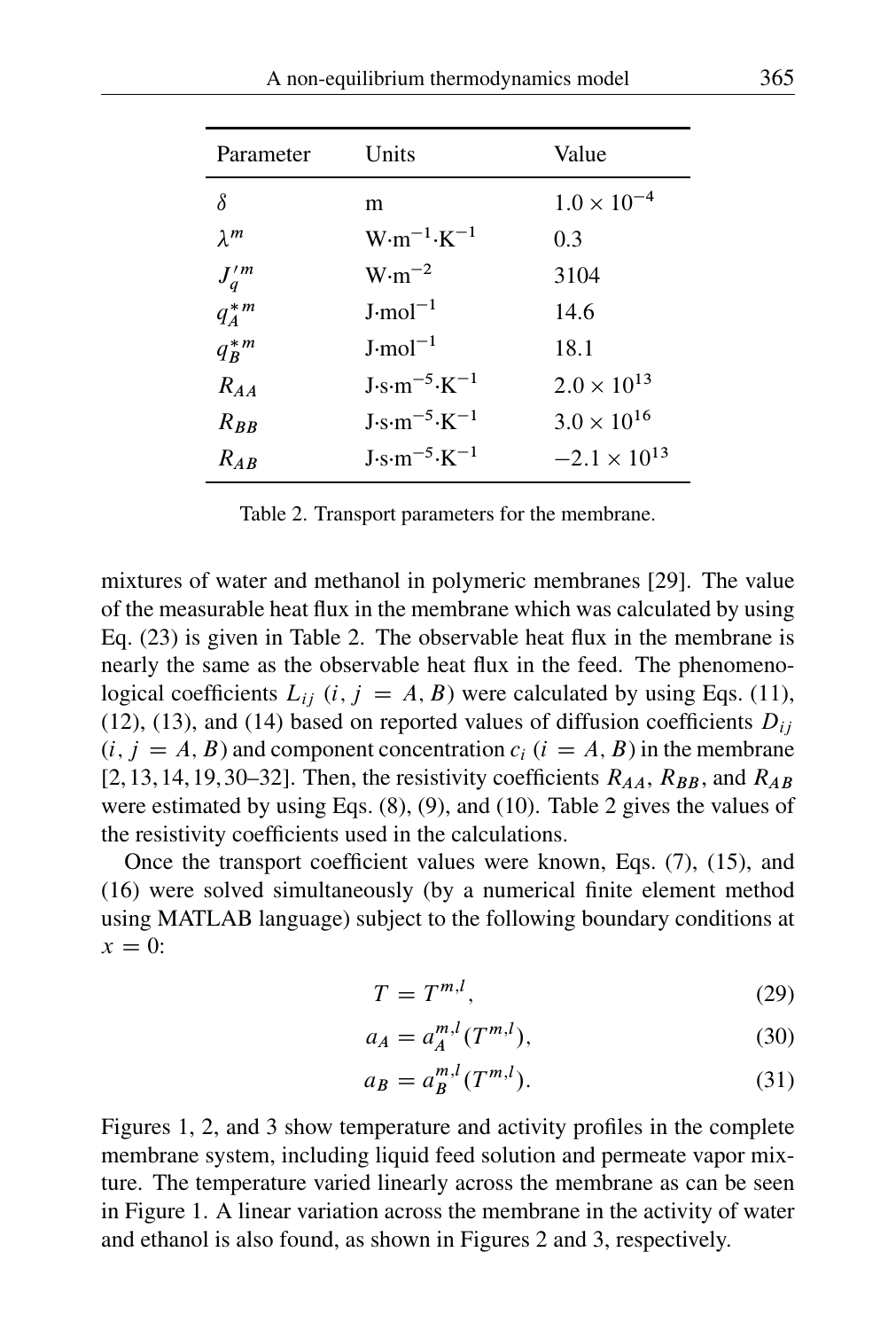| Parameter                     | Units                              | Value                 |
|-------------------------------|------------------------------------|-----------------------|
| δ                             | m                                  | $1.0 \times 10^{-4}$  |
| $\lambda$ <sup><i>m</i></sup> | $W \cdot m^{-1} \cdot K^{-1}$      | 0.3                   |
| $J_q^{\prime m}$              | $W \cdot m^{-2}$                   | 3104                  |
| $q_A^*$ <sup>m</sup>          | $J \cdot mol^{-1}$                 | 14.6                  |
| $q_R^*$ <sup>m</sup>          | $J \cdot mol^{-1}$                 | 18.1                  |
| $R_{AA}$                      | $J\cdot s\cdot m^{-5}\cdot K^{-1}$ | $2.0 \times 10^{13}$  |
| $R_{BB}$                      | $J\cdot s\cdot m^{-5}\cdot K^{-1}$ | $3.0 \times 10^{16}$  |
| $R_{AB}$                      | $J\cdot s\cdot m^{-5}\cdot K^{-1}$ | $-2.1 \times 10^{13}$ |

Table 2. Transport parameters for the membrane.

mixtures of water and methanol in polymeric membranes [29]. The value of the measurable heat flux in the membrane which was calculated by using Eq. (23) is given in Table 2. The observable heat flux in the membrane is nearly the same as the observable heat flux in the feed. The phenomenological coefficients  $L_{ij}$  (i, j = A, B) were calculated by using Eqs. (11), (12), (13), and (14) based on reported values of diffusion coefficients  $D_{ii}$  $(i, j = A, B)$  and component concentration  $c_i$   $(i = A, B)$  in the membrane [2, 13, 14, 19, 30–32]. Then, the resistivity coefficients  $R_{AA}$ ,  $R_{BB}$ , and  $R_{AB}$ were estimated by using Eqs. (8), (9), and (10). Table 2 gives the values of the resistivity coefficients used in the calculations.

Once the transport coefficient values were known, Eqs. (7), (15), and (16) were solved simultaneously (by a numerical finite element method using MATLAB language) subject to the following boundary conditions at  $x = 0$ :

$$
T = T^{m,l},\tag{29}
$$

$$
a_A = a_A^{m,l}(T^{m,l}),\tag{30}
$$

$$
a_B = a_B^{m,l}(T^{m,l}).\tag{31}
$$

Figures 1, 2, and 3 show temperature and activity profiles in the complete membrane system, including liquid feed solution and permeate vapor mixture. The temperature varied linearly across the membrane as can be seen in Figure 1. A linear variation across the membrane in the activity of water and ethanol is also found, as shown in Figures 2 and 3, respectively.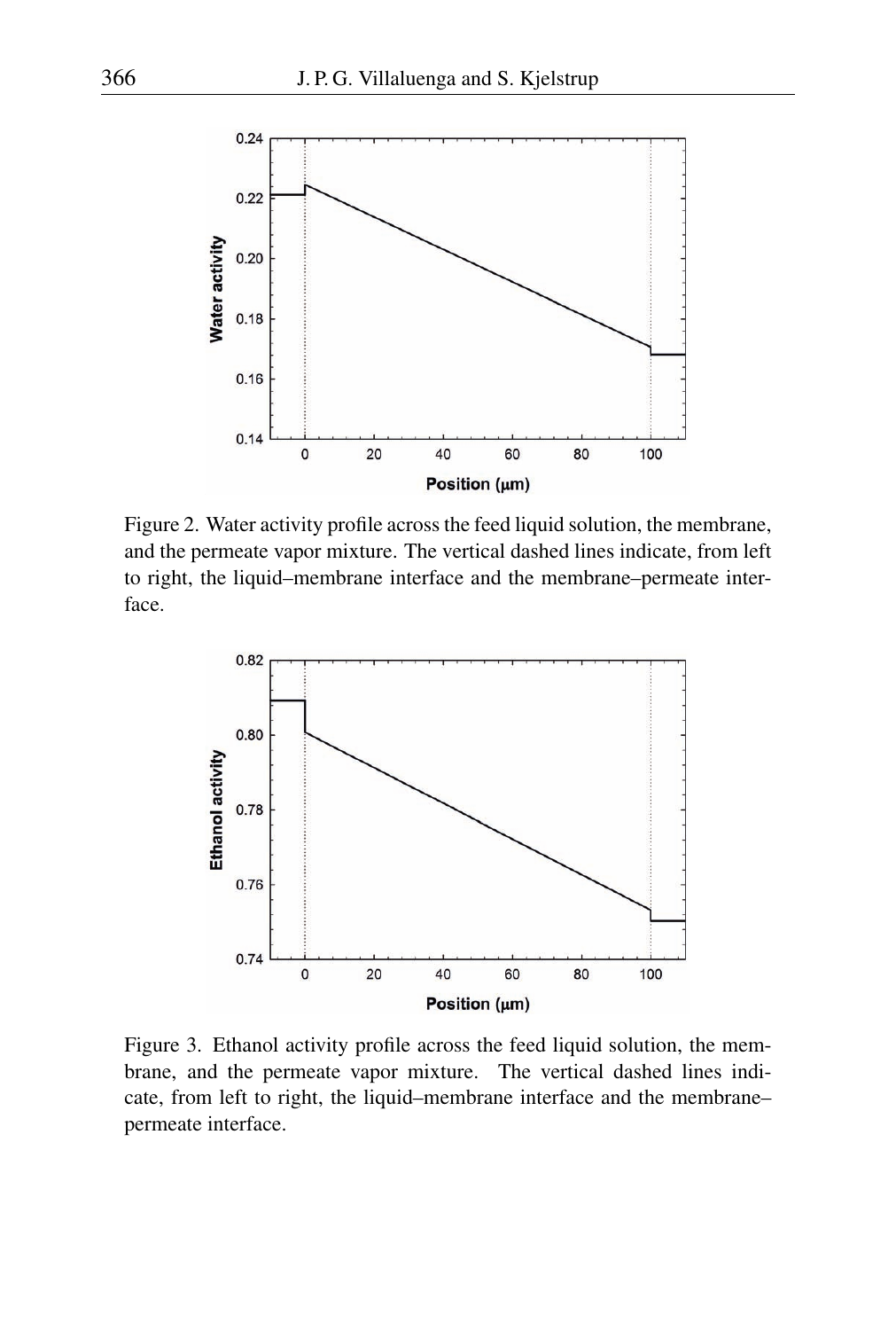

Figure 2. Water activity profile across the feed liquid solution, the membrane, and the permeate vapor mixture. The vertical dashed lines indicate, from left to right, the liquid–membrane interface and the membrane–permeate interface.



Figure 3. Ethanol activity profile across the feed liquid solution, the membrane, and the permeate vapor mixture. The vertical dashed lines indicate, from left to right, the liquid–membrane interface and the membrane– permeate interface.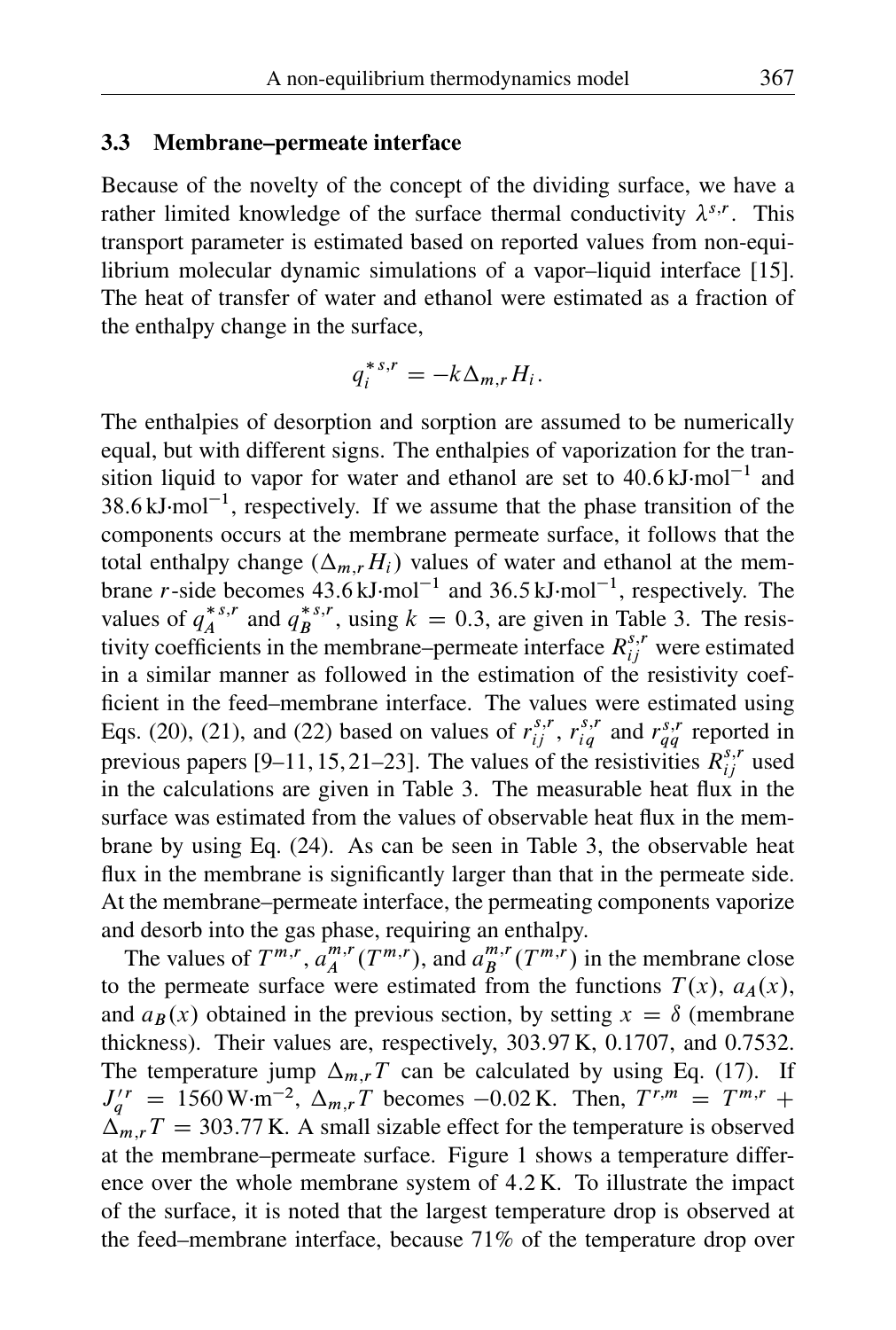#### 3.3 Membrane–permeate interface

Because of the novelty of the concept of the dividing surface, we have a rather limited knowledge of the surface thermal conductivity  $\lambda^{s,r}$ . This transport parameter is estimated based on reported values from non-equilibrium molecular dynamic simulations of a vapor–liquid interface [15]. The heat of transfer of water and ethanol were estimated as a fraction of the enthalpy change in the surface,

$$
q_i^{*s,r} = -k\Delta_{m,r} H_i.
$$

The enthalpies of desorption and sorption are assumed to be numerically equal, but with different signs. The enthalpies of vaporization for the transition liquid to vapor for water and ethanol are set to  $40.6 \text{ kJ} \cdot \text{mol}^{-1}$  and  $38.6 \text{ kJ} \cdot \text{mol}^{-1}$ , respectively. If we assume that the phase transition of the components occurs at the membrane permeate surface, it follows that the total enthalpy change  $(\Delta_{m,r}H_i)$  values of water and ethanol at the membrane r-side becomes  $43.6 \text{ kJ·mol}^{-1}$  and  $36.5 \text{ kJ·mol}^{-1}$ , respectively. The values of  $q_A^{*s,r}$  $q_B^{*s,r}$  and  $q_B^{*s,r}$  $_{B}^{*,s,r}$ , using  $k = 0.3$ , are given in Table 3. The resistivity coefficients in the membrane–permeate interface  $R_{ij}^{s,r}$  were estimated in a similar manner as followed in the estimation of the resistivity coefficient in the feed–membrane interface. The values were estimated using Eqs. (20), (21), and (22) based on values of  $r_{ij}^{s,r}$ ,  $r_{iq}^{s,r}$  and  $r_{qq}^{s,r}$  reported in previous papers [9–11, 15, 21–23]. The values of the resistivities  $R_{ij}^{s,r}$  used in the calculations are given in Table 3. The measurable heat flux in the surface was estimated from the values of observable heat flux in the membrane by using Eq. (24). As can be seen in Table 3, the observable heat flux in the membrane is significantly larger than that in the permeate side. At the membrane–permeate interface, the permeating components vaporize and desorb into the gas phase, requiring an enthalpy.

The values of  $T^{m,r}$ ,  $a_A^{m,r}$  $\binom{m,r}{A}(T^{m,r})$ , and  $\binom{m,r}{B}$  $_{B}^{m,r}(T^{m,r})$  in the membrane close to the permeate surface were estimated from the functions  $T(x)$ ,  $a<sub>A</sub>(x)$ , and  $a_B(x)$  obtained in the previous section, by setting  $x = \delta$  (membrane thickness). Their values are, respectively, 303:97 K, 0.1707, and 0.7532. The temperature jump  $\Delta_{m,r}T$  can be calculated by using Eq. (17). If  $J_q^{\prime r}$  = 1560 W·m<sup>-2</sup>,  $\Delta_{m,r}T$  becomes -0.02 K. Then,  $T^{r,m}$  =  $T^{m,r}$  +  $\Delta_{m,r}T = 303.77$  K. A small sizable effect for the temperature is observed at the membrane–permeate surface. Figure 1 shows a temperature difference over the whole membrane system of 4:2 K. To illustrate the impact of the surface, it is noted that the largest temperature drop is observed at the feed–membrane interface, because 71% of the temperature drop over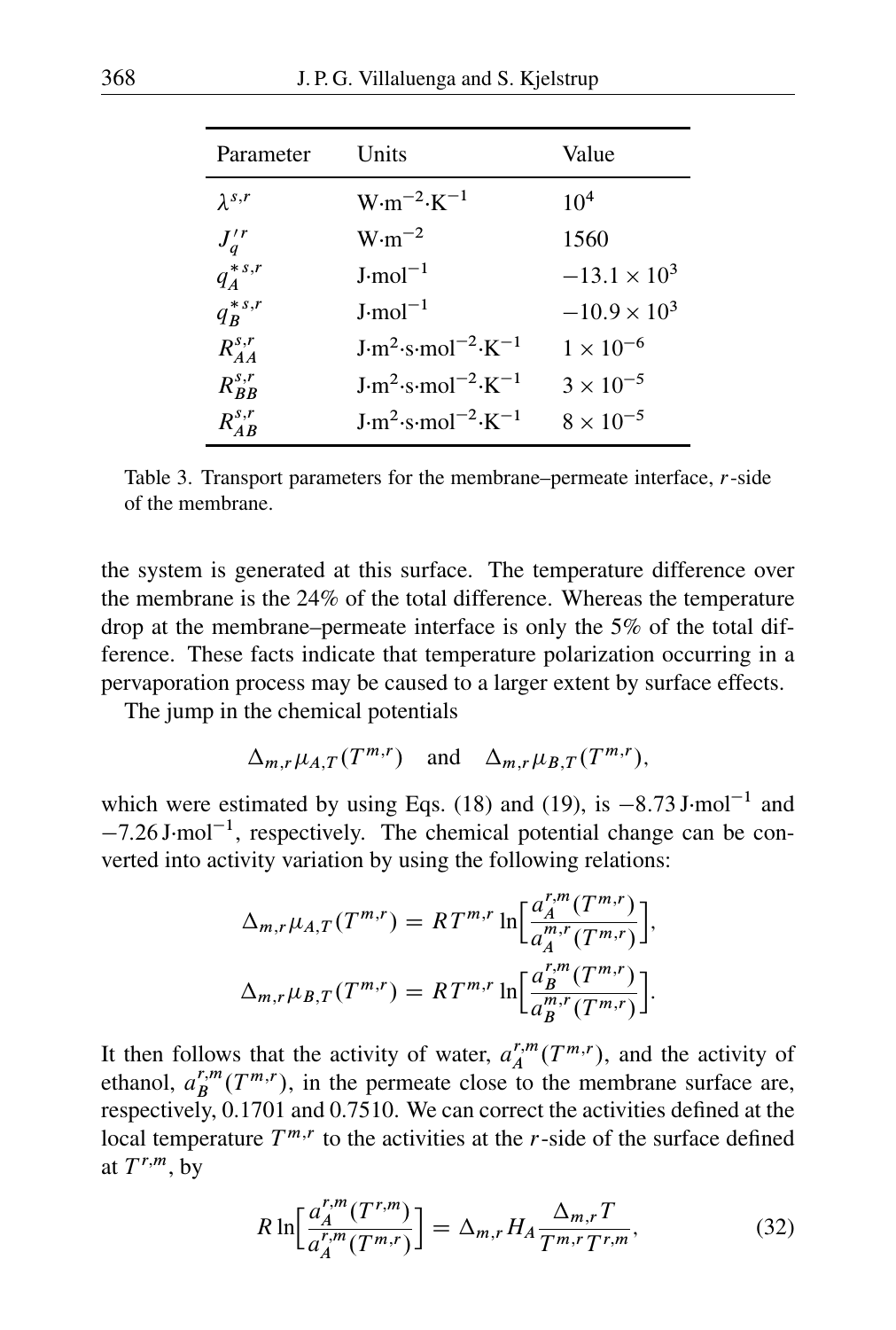| Parameter             | Units                                             | Value                 |
|-----------------------|---------------------------------------------------|-----------------------|
| $\lambda^{s,r}$       | $W \cdot m^{-2} \cdot K^{-1}$                     | 10 <sup>4</sup>       |
| $J_q^{\prime r}$      | $W \cdot m^{-2}$                                  | 1560                  |
| $q_A^{*s,r}$          | $J·mol-1$                                         | $-13.1 \times 10^{3}$ |
| $q_B^{*s,r}$          | $J \cdot mol^{-1}$                                | $-10.9 \times 10^{3}$ |
| $R_{AA}^{s,r}$        | $J \cdot m^2 \cdot s \cdot mol^{-2} \cdot K^{-1}$ | $1 \times 10^{-6}$    |
| $R_{BB}^{s,r}$        | $J \cdot m^2 \cdot s \cdot mol^{-2} \cdot K^{-1}$ | $3 \times 10^{-5}$    |
| $R^{s,r}_{\text{AB}}$ | $J \cdot m^2 \cdot s \cdot mol^{-2} \cdot K^{-1}$ | $8 \times 10^{-5}$    |

Table 3. Transport parameters for the membrane–permeate interface, r-side of the membrane.

the system is generated at this surface. The temperature difference over the membrane is the 24% of the total difference. Whereas the temperature drop at the membrane–permeate interface is only the 5% of the total difference. These facts indicate that temperature polarization occurring in a pervaporation process may be caused to a larger extent by surface effects.

The jump in the chemical potentials

$$
\Delta_{m,r} \mu_{A,T}(T^{m,r}) \quad \text{and} \quad \Delta_{m,r} \mu_{B,T}(T^{m,r}),
$$

which were estimated by using Eqs. (18) and (19), is  $-8.73 \text{ J} \cdot \text{mol}^{-1}$  and  $-7.26$  J·mol<sup>-1</sup>, respectively. The chemical potential change can be converted into activity variation by using the following relations:

$$
\Delta_{m,r} \mu_{A,T}(T^{m,r}) = RT^{m,r} \ln \left[ \frac{a_A^{r,m}(T^{m,r})}{a_A^{m,r}(T^{m,r})} \right],
$$
  

$$
\Delta_{m,r} \mu_{B,T}(T^{m,r}) = RT^{m,r} \ln \left[ \frac{a_B^{r,m}(T^{m,r})}{a_B^{m,r}(T^{m,r})} \right].
$$

It then follows that the activity of water,  $a_A^{r,m}$  $L_A^{r,m}(T^{m,r})$ , and the activity of ethanol,  $a_R^{r,m}$  $L_B^{r,m}(T^{m,r})$ , in the permeate close to the membrane surface are, respectively, 0.1701 and 0.7510. We can correct the activities defined at the local temperature  $T^{m,r}$  to the activities at the r-side of the surface defined at  $T^{r,m}$ , by

$$
R\ln\left[\frac{a_A^{r,m}(T^{r,m})}{a_A^{r,m}(T^{m,r})}\right] = \Delta_{m,r} H_A \frac{\Delta_{m,r} T}{T^{m,r} T^{r,m}},\tag{32}
$$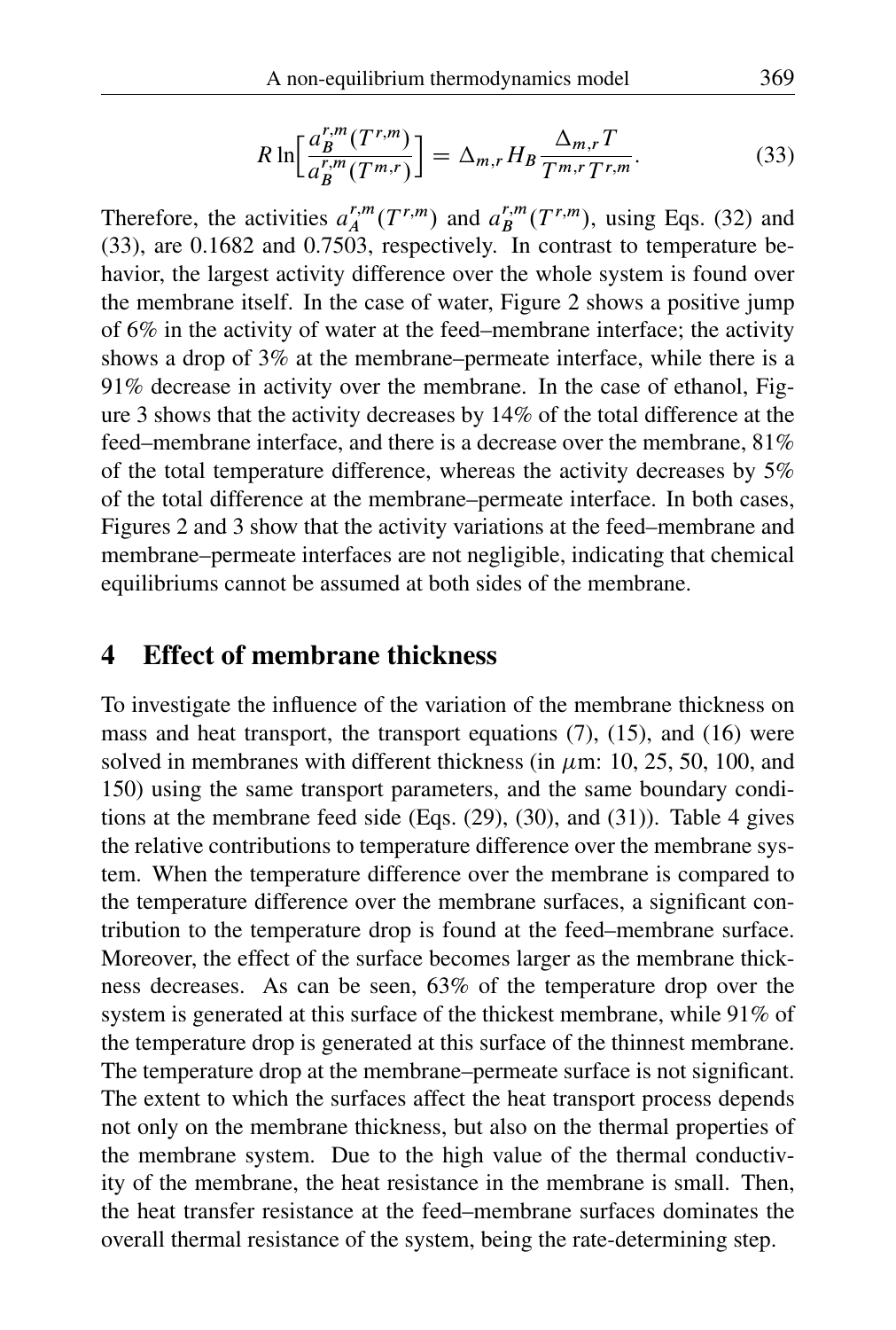$$
R\ln\left[\frac{a_B^{r,m}(T^{r,m})}{a_B^{r,m}(T^{m,r})}\right] = \Delta_{m,r} H_B \frac{\Delta_{m,r} T}{T^{m,r} T^{r,m}}.
$$
\n(33)

Therefore, the activities  $a_A^{r,m}$  $a_A^{r,m}(T^{r,m})$  and  $a_B^{r,m}$  $L_B^{r,m}(T^{r,m})$ , using Eqs. (32) and (33), are 0.1682 and 0.7503, respectively. In contrast to temperature behavior, the largest activity difference over the whole system is found over the membrane itself. In the case of water, Figure 2 shows a positive jump of 6% in the activity of water at the feed–membrane interface; the activity shows a drop of 3% at the membrane–permeate interface, while there is a 91% decrease in activity over the membrane. In the case of ethanol, Figure 3 shows that the activity decreases by 14% of the total difference at the feed–membrane interface, and there is a decrease over the membrane, 81% of the total temperature difference, whereas the activity decreases by 5% of the total difference at the membrane–permeate interface. In both cases, Figures 2 and 3 show that the activity variations at the feed–membrane and membrane–permeate interfaces are not negligible, indicating that chemical equilibriums cannot be assumed at both sides of the membrane.

### 4 Effect of membrane thickness

To investigate the influence of the variation of the membrane thickness on mass and heat transport, the transport equations  $(7)$ ,  $(15)$ , and  $(16)$  were solved in membranes with different thickness (in  $\mu$ m: 10, 25, 50, 100, and 150) using the same transport parameters, and the same boundary conditions at the membrane feed side (Eqs. (29), (30), and (31)). Table 4 gives the relative contributions to temperature difference over the membrane system. When the temperature difference over the membrane is compared to the temperature difference over the membrane surfaces, a significant contribution to the temperature drop is found at the feed–membrane surface. Moreover, the effect of the surface becomes larger as the membrane thickness decreases. As can be seen, 63% of the temperature drop over the system is generated at this surface of the thickest membrane, while 91% of the temperature drop is generated at this surface of the thinnest membrane. The temperature drop at the membrane–permeate surface is not significant. The extent to which the surfaces affect the heat transport process depends not only on the membrane thickness, but also on the thermal properties of the membrane system. Due to the high value of the thermal conductivity of the membrane, the heat resistance in the membrane is small. Then, the heat transfer resistance at the feed–membrane surfaces dominates the overall thermal resistance of the system, being the rate-determining step.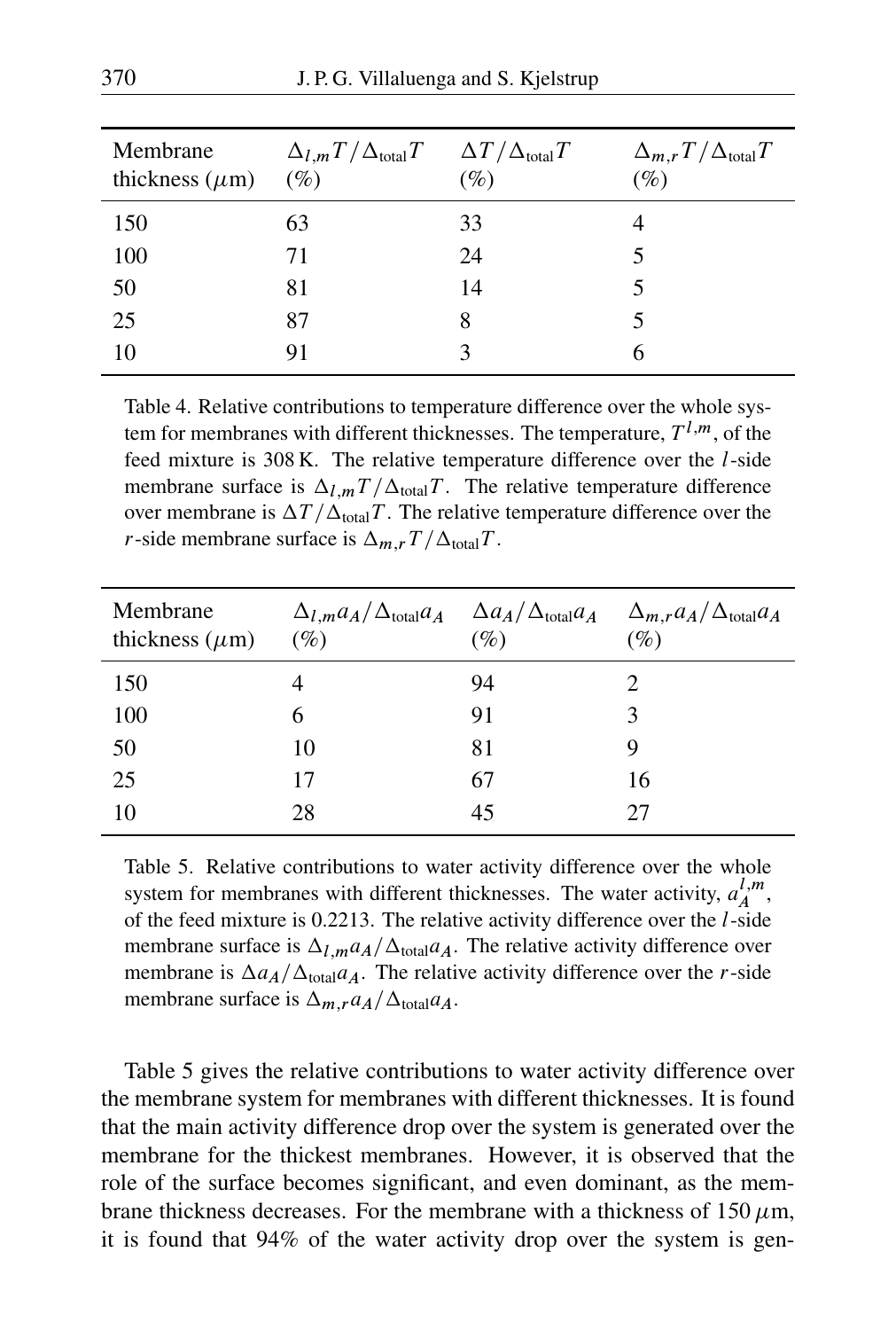| Membrane<br>thickness $(\mu m)$ | $\Delta_{l,m} T / \Delta_{\text{total}} T \quad \Delta T / \Delta_{\text{total}} T$<br>$(\%)$ | $(\%)$ | $\Delta_{m,r} T/\Delta_{\text{total}} T$<br>$(\%)$ |
|---------------------------------|-----------------------------------------------------------------------------------------------|--------|----------------------------------------------------|
| 150                             | 63                                                                                            | 33     | 4                                                  |
| 100                             | 71                                                                                            | 24     | 5                                                  |
| 50                              | 81                                                                                            | 14     | 5                                                  |
| 25                              | 87                                                                                            | 8      |                                                    |
| 10                              |                                                                                               |        |                                                    |

Table 4. Relative contributions to temperature difference over the whole system for membranes with different thicknesses. The temperature,  $T^{l,m}$ , of the feed mixture is 308 K. The relative temperature difference over the l-side membrane surface is  $\Delta_{l,m}T/\Delta_{\text{total}}T$ . The relative temperature difference over membrane is  $\Delta T / \Delta_{\text{total}} T$ . The relative temperature difference over the r-side membrane surface is  $\Delta_{m,r}T/\Delta_{\text{total}}T$ .

| Membrane<br>thickness $(\mu m)$ | $\Delta_{l,m} a_A/\Delta_{\text{total}} a_A \quad \Delta a_A/\Delta_{\text{total}} a_A \quad \Delta_{m,r} a_A/\Delta_{\text{total}} a_A$<br>$(\%)$ | $(\%)$ | $(\%)$ |
|---------------------------------|----------------------------------------------------------------------------------------------------------------------------------------------------|--------|--------|
| 150                             | 4                                                                                                                                                  | 94     |        |
| 100                             | 6                                                                                                                                                  | 91     |        |
| 50                              | 10                                                                                                                                                 | 81     | 9      |
| 25                              | 17                                                                                                                                                 | 67     | 16     |
| 10                              | 28                                                                                                                                                 | 45     | 27     |

Table 5. Relative contributions to water activity difference over the whole system for membranes with different thicknesses. The water activity,  $a_A^{l,m}$  $\iota^{I,m}_A,$ of the feed mixture is 0.2213. The relative activity difference over the  $l$ -side membrane surface is  $\Delta_{l,m}a_A/\Delta_{\text{total}}a_A$ . The relative activity difference over membrane is  $\Delta a_A/\Delta_{\text{total}}a_A$ . The relative activity difference over the r-side membrane surface is  $\Delta_{m,r}a_A/\Delta_{\text{total}}a_A$ .

Table 5 gives the relative contributions to water activity difference over the membrane system for membranes with different thicknesses. It is found that the main activity difference drop over the system is generated over the membrane for the thickest membranes. However, it is observed that the role of the surface becomes significant, and even dominant, as the membrane thickness decreases. For the membrane with a thickness of 150  $\mu$ m, it is found that 94% of the water activity drop over the system is gen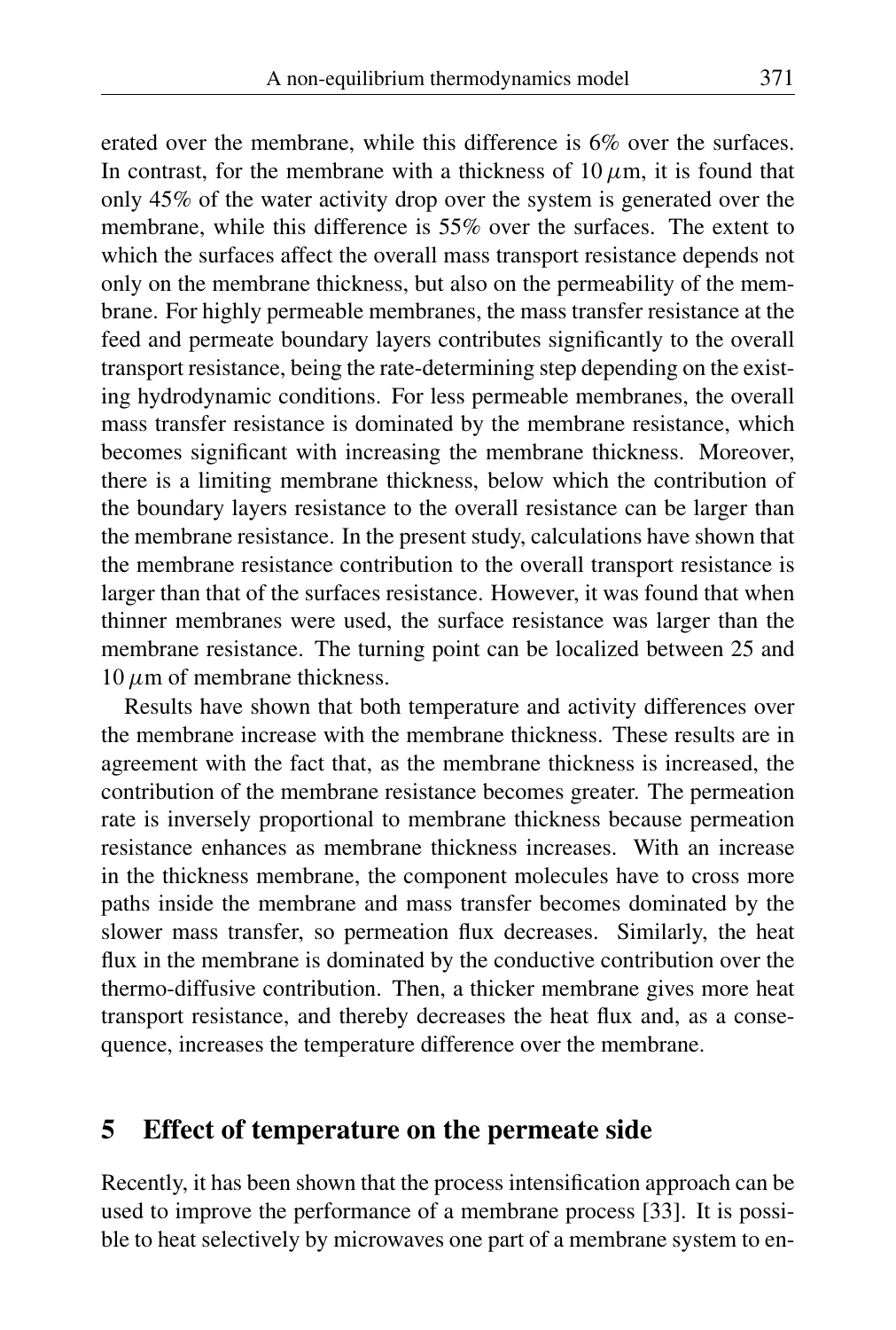erated over the membrane, while this difference is 6% over the surfaces. In contrast, for the membrane with a thickness of  $10 \mu m$ , it is found that only 45% of the water activity drop over the system is generated over the membrane, while this difference is 55% over the surfaces. The extent to which the surfaces affect the overall mass transport resistance depends not only on the membrane thickness, but also on the permeability of the membrane. For highly permeable membranes, the mass transfer resistance at the feed and permeate boundary layers contributes significantly to the overall transport resistance, being the rate-determining step depending on the existing hydrodynamic conditions. For less permeable membranes, the overall mass transfer resistance is dominated by the membrane resistance, which becomes significant with increasing the membrane thickness. Moreover, there is a limiting membrane thickness, below which the contribution of the boundary layers resistance to the overall resistance can be larger than the membrane resistance. In the present study, calculations have shown that the membrane resistance contribution to the overall transport resistance is larger than that of the surfaces resistance. However, it was found that when thinner membranes were used, the surface resistance was larger than the membrane resistance. The turning point can be localized between 25 and  $10 \mu m$  of membrane thickness.

Results have shown that both temperature and activity differences over the membrane increase with the membrane thickness. These results are in agreement with the fact that, as the membrane thickness is increased, the contribution of the membrane resistance becomes greater. The permeation rate is inversely proportional to membrane thickness because permeation resistance enhances as membrane thickness increases. With an increase in the thickness membrane, the component molecules have to cross more paths inside the membrane and mass transfer becomes dominated by the slower mass transfer, so permeation flux decreases. Similarly, the heat flux in the membrane is dominated by the conductive contribution over the thermo-diffusive contribution. Then, a thicker membrane gives more heat transport resistance, and thereby decreases the heat flux and, as a consequence, increases the temperature difference over the membrane.

## 5 Effect of temperature on the permeate side

Recently, it has been shown that the process intensification approach can be used to improve the performance of a membrane process [33]. It is possible to heat selectively by microwaves one part of a membrane system to en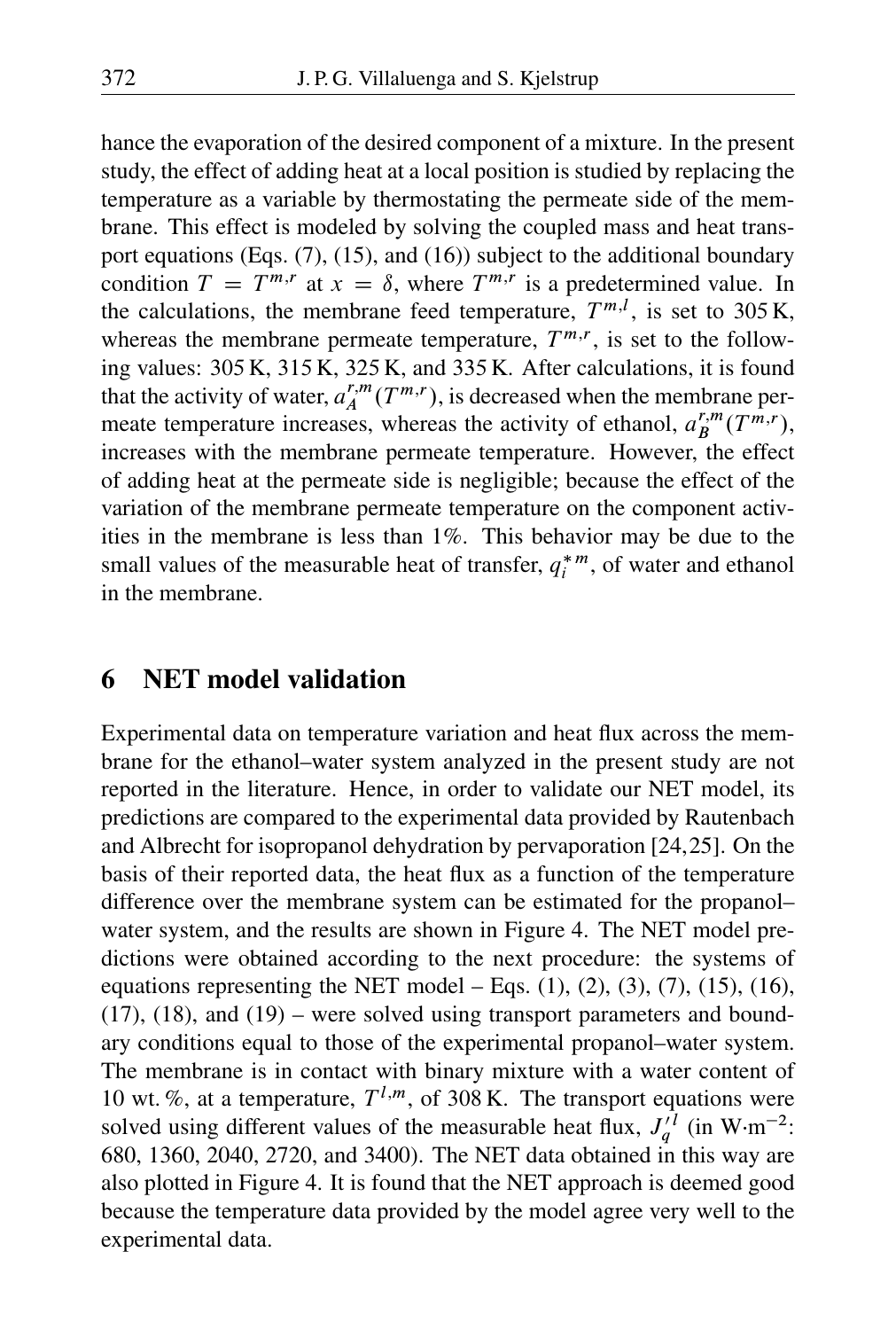hance the evaporation of the desired component of a mixture. In the present study, the effect of adding heat at a local position is studied by replacing the temperature as a variable by thermostating the permeate side of the membrane. This effect is modeled by solving the coupled mass and heat transport equations (Eqs. (7), (15), and (16)) subject to the additional boundary condition  $T = T^{m,r}$  at  $x = \delta$ , where  $T^{m,r}$  is a predetermined value. In the calculations, the membrane feed temperature,  $T^{m,l}$ , is set to 305 K, whereas the membrane permeate temperature,  $T^{m,r}$ , is set to the following values: 305 K, 315 K, 325 K, and 335 K. After calculations, it is found that the activity of water,  $a_A^{r,m}$  $L_A^{r,m}(T^{m,r})$ , is decreased when the membrane permeate temperature increases, whereas the activity of ethanol,  $a_B^{r,m}$  $L_B^{r,m}(T^{m,r}),$ increases with the membrane permeate temperature. However, the effect of adding heat at the permeate side is negligible; because the effect of the variation of the membrane permeate temperature on the component activities in the membrane is less than 1%. This behavior may be due to the small values of the measurable heat of transfer,  $q_i^{*m}$ , of water and ethanol in the membrane.

## 6 NET model validation

Experimental data on temperature variation and heat flux across the membrane for the ethanol–water system analyzed in the present study are not reported in the literature. Hence, in order to validate our NET model, its predictions are compared to the experimental data provided by Rautenbach and Albrecht for isopropanol dehydration by pervaporation [24,25]. On the basis of their reported data, the heat flux as a function of the temperature difference over the membrane system can be estimated for the propanol– water system, and the results are shown in Figure 4. The NET model predictions were obtained according to the next procedure: the systems of equations representing the NET model – Eqs.  $(1)$ ,  $(2)$ ,  $(3)$ ,  $(7)$ ,  $(15)$ ,  $(16)$ , (17), (18), and (19) – were solved using transport parameters and boundary conditions equal to those of the experimental propanol–water system. The membrane is in contact with binary mixture with a water content of 10 wt. %, at a temperature,  $T^{l,m}$ , of 308 K. The transport equations were solved using different values of the measurable heat flux,  $J_q^{\tilde{dl}}$  (in W·m<sup>-2</sup>: 680, 1360, 2040, 2720, and 3400). The NET data obtained in this way are also plotted in Figure 4. It is found that the NET approach is deemed good because the temperature data provided by the model agree very well to the experimental data.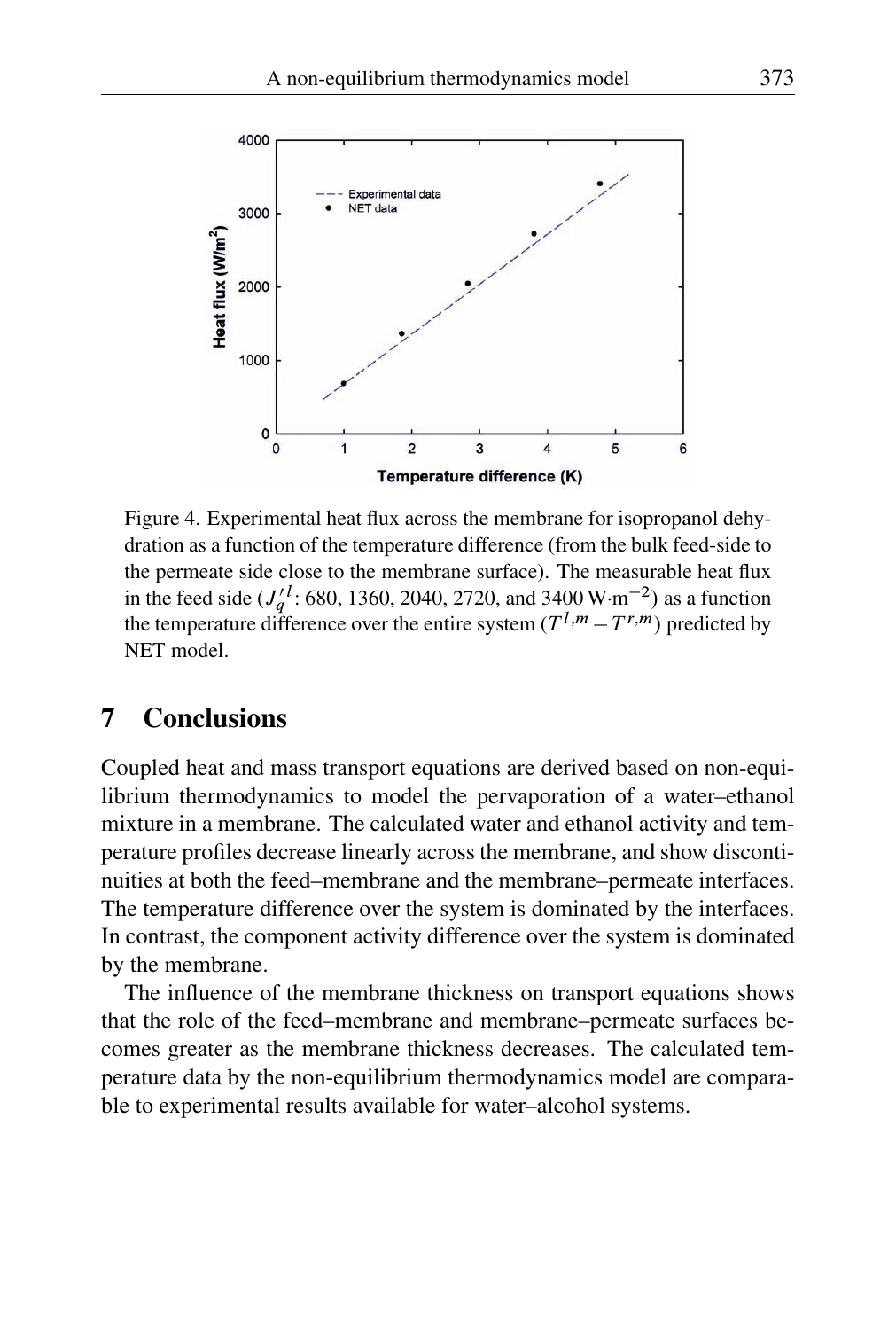

Figure 4. Experimental heat flux across the membrane for isopropanol dehydration as a function of the temperature difference (from the bulk feed-side to the permeate side close to the membrane surface). The measurable heat flux in the feed side ( $J_q^{11}$ : 680, 1360, 2040, 2720, and 3400 W·m<sup>-2</sup>) as a function the temperature difference over the entire system  $(T^{l,m} - T^{r,m})$  predicted by NET model.

## 7 Conclusions

Coupled heat and mass transport equations are derived based on non-equilibrium thermodynamics to model the pervaporation of a water–ethanol mixture in a membrane. The calculated water and ethanol activity and temperature profiles decrease linearly across the membrane, and show discontinuities at both the feed–membrane and the membrane–permeate interfaces. The temperature difference over the system is dominated by the interfaces. In contrast, the component activity difference over the system is dominated by the membrane.

The influence of the membrane thickness on transport equations shows that the role of the feed–membrane and membrane–permeate surfaces becomes greater as the membrane thickness decreases. The calculated temperature data by the non-equilibrium thermodynamics model are comparable to experimental results available for water–alcohol systems.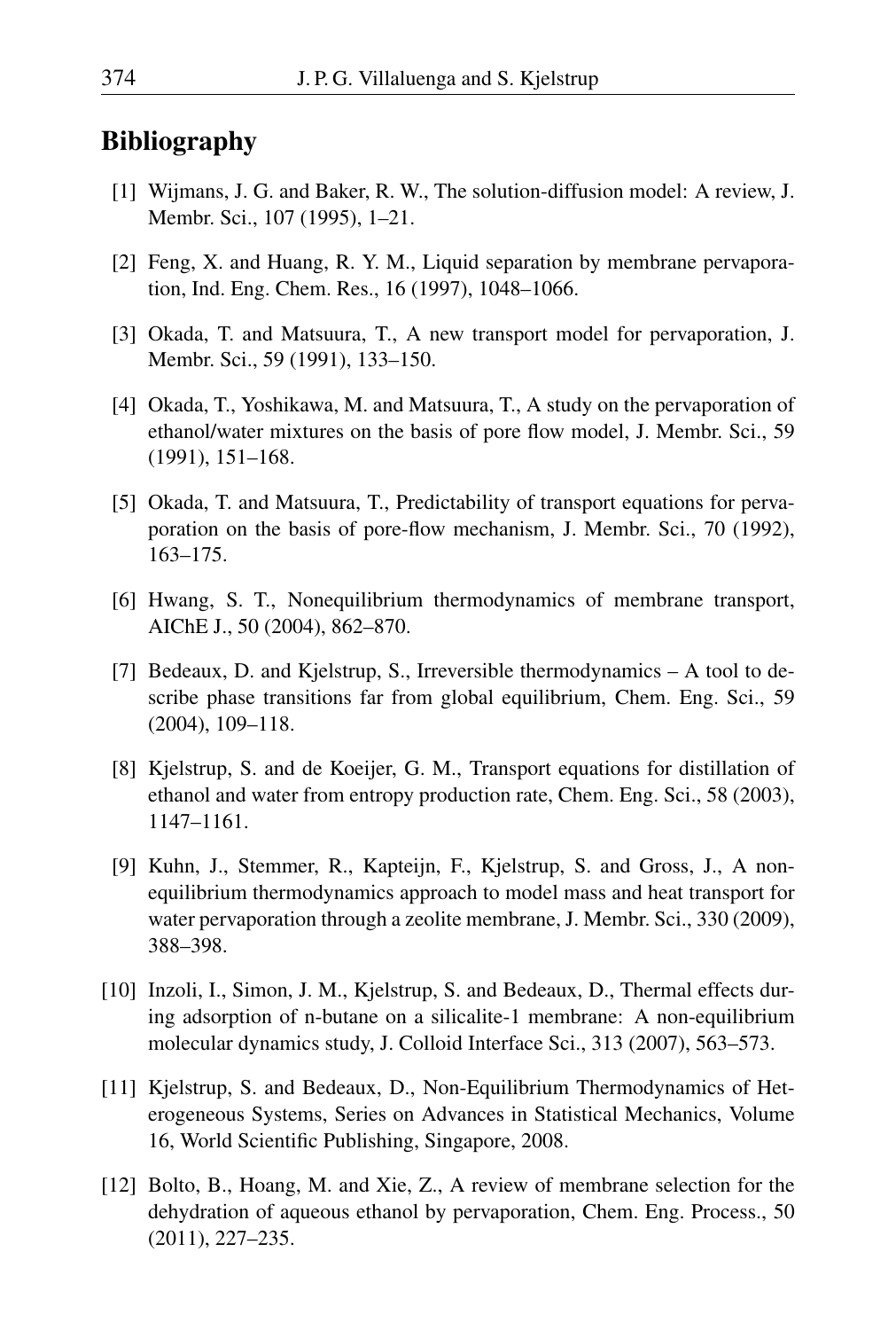## Bibliography

- [1] Wijmans, J. G. and Baker, R. W., The solution-diffusion model: A review, J. Membr. Sci., 107 (1995), 1–21.
- [2] Feng, X. and Huang, R. Y. M., Liquid separation by membrane pervaporation, Ind. Eng. Chem. Res., 16 (1997), 1048–1066.
- [3] Okada, T. and Matsuura, T., A new transport model for pervaporation, J. Membr. Sci., 59 (1991), 133–150.
- [4] Okada, T., Yoshikawa, M. and Matsuura, T., A study on the pervaporation of ethanol/water mixtures on the basis of pore flow model, J. Membr. Sci., 59 (1991), 151–168.
- [5] Okada, T. and Matsuura, T., Predictability of transport equations for pervaporation on the basis of pore-flow mechanism, J. Membr. Sci., 70 (1992), 163–175.
- [6] Hwang, S. T., Nonequilibrium thermodynamics of membrane transport, AIChE J., 50 (2004), 862–870.
- [7] Bedeaux, D. and Kjelstrup, S., Irreversible thermodynamics A tool to describe phase transitions far from global equilibrium, Chem. Eng. Sci., 59 (2004), 109–118.
- [8] Kjelstrup, S. and de Koeijer, G. M., Transport equations for distillation of ethanol and water from entropy production rate, Chem. Eng. Sci., 58 (2003), 1147–1161.
- [9] Kuhn, J., Stemmer, R., Kapteijn, F., Kjelstrup, S. and Gross, J., A nonequilibrium thermodynamics approach to model mass and heat transport for water pervaporation through a zeolite membrane, J. Membr. Sci., 330 (2009), 388–398.
- [10] Inzoli, I., Simon, J. M., Kjelstrup, S. and Bedeaux, D., Thermal effects during adsorption of n-butane on a silicalite-1 membrane: A non-equilibrium molecular dynamics study, J. Colloid Interface Sci., 313 (2007), 563–573.
- [11] Kjelstrup, S. and Bedeaux, D., Non-Equilibrium Thermodynamics of Heterogeneous Systems, Series on Advances in Statistical Mechanics, Volume 16, World Scientific Publishing, Singapore, 2008.
- [12] Bolto, B., Hoang, M. and Xie, Z., A review of membrane selection for the dehydration of aqueous ethanol by pervaporation, Chem. Eng. Process., 50 (2011), 227–235.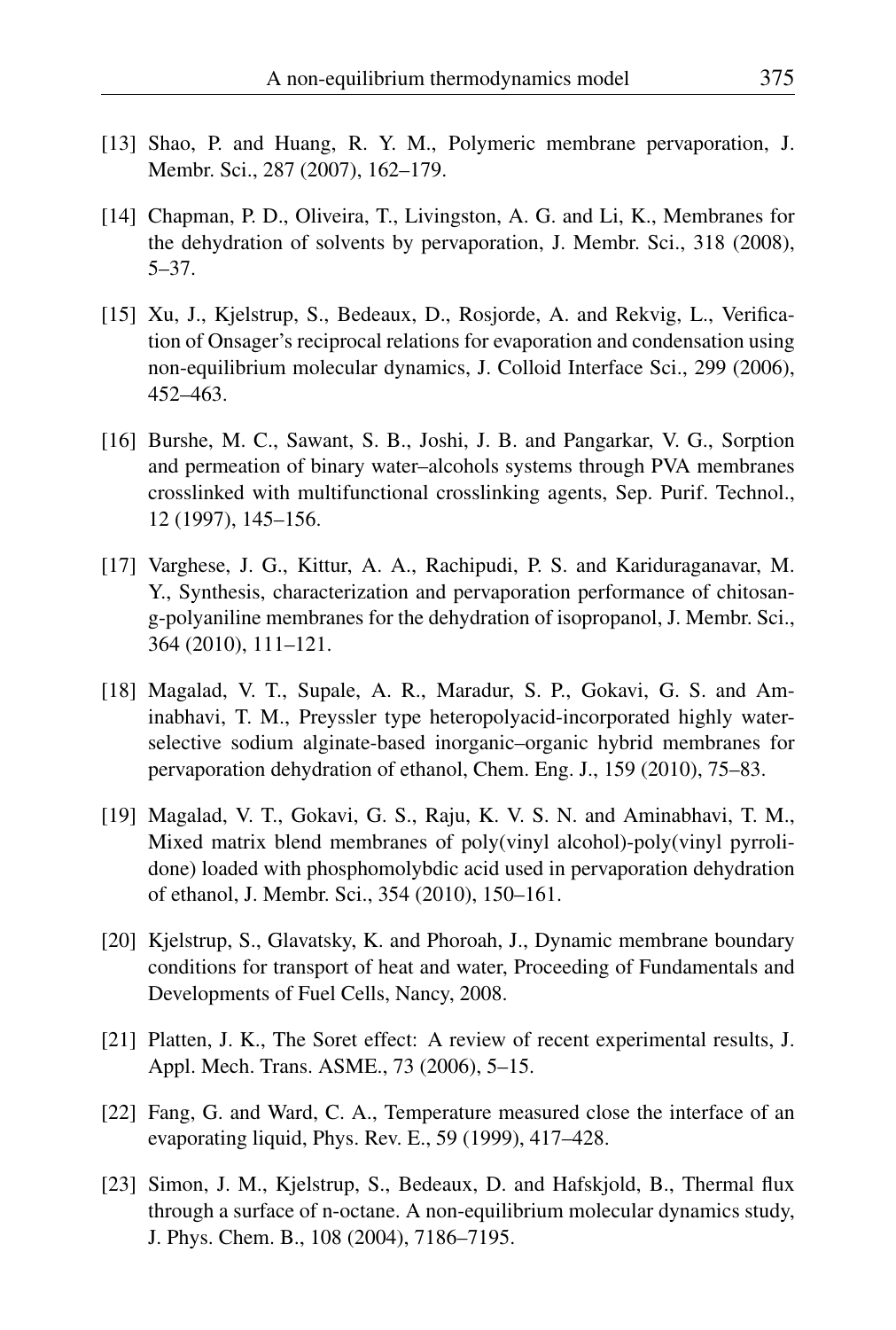- [13] Shao, P. and Huang, R. Y. M., Polymeric membrane pervaporation, J. Membr. Sci., 287 (2007), 162–179.
- [14] Chapman, P. D., Oliveira, T., Livingston, A. G. and Li, K., Membranes for the dehydration of solvents by pervaporation, J. Membr. Sci., 318 (2008), 5–37.
- [15] Xu, J., Kjelstrup, S., Bedeaux, D., Rosjorde, A. and Rekvig, L., Verification of Onsager's reciprocal relations for evaporation and condensation using non-equilibrium molecular dynamics, J. Colloid Interface Sci., 299 (2006), 452–463.
- [16] Burshe, M. C., Sawant, S. B., Joshi, J. B. and Pangarkar, V. G., Sorption and permeation of binary water–alcohols systems through PVA membranes crosslinked with multifunctional crosslinking agents, Sep. Purif. Technol., 12 (1997), 145–156.
- [17] Varghese, J. G., Kittur, A. A., Rachipudi, P. S. and Kariduraganavar, M. Y., Synthesis, characterization and pervaporation performance of chitosang-polyaniline membranes for the dehydration of isopropanol, J. Membr. Sci., 364 (2010), 111–121.
- [18] Magalad, V. T., Supale, A. R., Maradur, S. P., Gokavi, G. S. and Aminabhavi, T. M., Preyssler type heteropolyacid-incorporated highly waterselective sodium alginate-based inorganic–organic hybrid membranes for pervaporation dehydration of ethanol, Chem. Eng. J., 159 (2010), 75–83.
- [19] Magalad, V. T., Gokavi, G. S., Raju, K. V. S. N. and Aminabhavi, T. M., Mixed matrix blend membranes of poly(vinyl alcohol)-poly(vinyl pyrrolidone) loaded with phosphomolybdic acid used in pervaporation dehydration of ethanol, J. Membr. Sci., 354 (2010), 150–161.
- [20] Kjelstrup, S., Glavatsky, K. and Phoroah, J., Dynamic membrane boundary conditions for transport of heat and water, Proceeding of Fundamentals and Developments of Fuel Cells, Nancy, 2008.
- [21] Platten, J. K., The Soret effect: A review of recent experimental results, J. Appl. Mech. Trans. ASME., 73 (2006), 5–15.
- [22] Fang, G. and Ward, C. A., Temperature measured close the interface of an evaporating liquid, Phys. Rev. E., 59 (1999), 417–428.
- [23] Simon, J. M., Kjelstrup, S., Bedeaux, D. and Hafskjold, B., Thermal flux through a surface of n-octane. A non-equilibrium molecular dynamics study, J. Phys. Chem. B., 108 (2004), 7186–7195.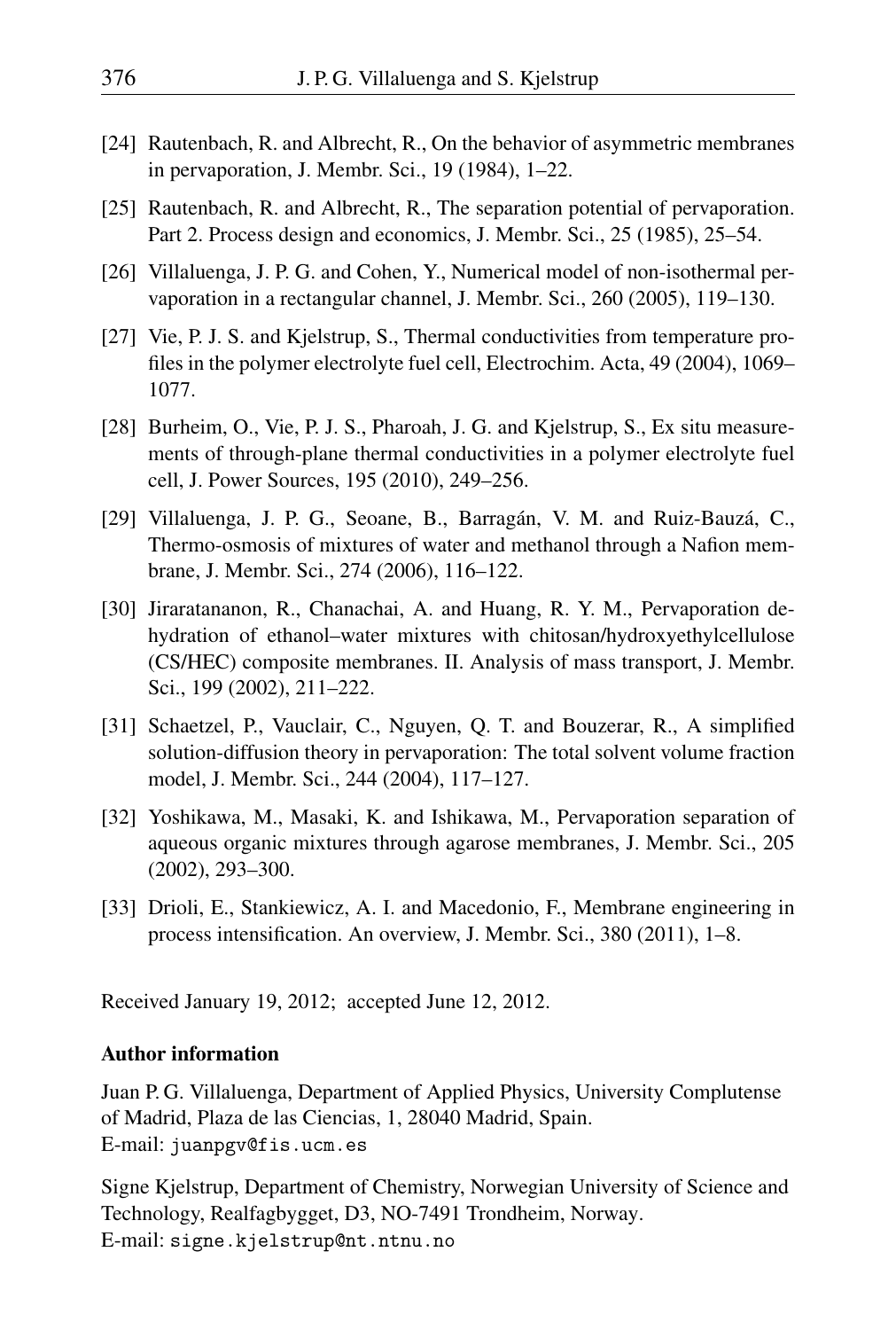- [24] Rautenbach, R. and Albrecht, R., On the behavior of asymmetric membranes in pervaporation, J. Membr. Sci., 19 (1984), 1–22.
- [25] Rautenbach, R. and Albrecht, R., The separation potential of pervaporation. Part 2. Process design and economics, J. Membr. Sci., 25 (1985), 25–54.
- [26] Villaluenga, J. P. G. and Cohen, Y., Numerical model of non-isothermal pervaporation in a rectangular channel, J. Membr. Sci., 260 (2005), 119–130.
- [27] Vie, P. J. S. and Kjelstrup, S., Thermal conductivities from temperature profiles in the polymer electrolyte fuel cell, Electrochim. Acta, 49 (2004), 1069– 1077.
- [28] Burheim, O., Vie, P. J. S., Pharoah, J. G. and Kjelstrup, S., Ex situ measurements of through-plane thermal conductivities in a polymer electrolyte fuel cell, J. Power Sources, 195 (2010), 249–256.
- [29] Villaluenga, J. P. G., Seoane, B., Barragán, V. M. and Ruiz-Bauzá, C., Thermo-osmosis of mixtures of water and methanol through a Nafion membrane, J. Membr. Sci., 274 (2006), 116–122.
- [30] Jiraratananon, R., Chanachai, A. and Huang, R. Y. M., Pervaporation dehydration of ethanol–water mixtures with chitosan/hydroxyethylcellulose (CS/HEC) composite membranes. II. Analysis of mass transport, J. Membr. Sci., 199 (2002), 211–222.
- [31] Schaetzel, P., Vauclair, C., Nguyen, Q. T. and Bouzerar, R., A simplified solution-diffusion theory in pervaporation: The total solvent volume fraction model, J. Membr. Sci., 244 (2004), 117–127.
- [32] Yoshikawa, M., Masaki, K. and Ishikawa, M., Pervaporation separation of aqueous organic mixtures through agarose membranes, J. Membr. Sci., 205 (2002), 293–300.
- [33] Drioli, E., Stankiewicz, A. I. and Macedonio, F., Membrane engineering in process intensification. An overview, J. Membr. Sci., 380 (2011), 1–8.

Received January 19, 2012; accepted June 12, 2012.

#### Author information

Juan P. G. Villaluenga, Department of Applied Physics, University Complutense of Madrid, Plaza de las Ciencias, 1, 28040 Madrid, Spain. E-mail: [juanpgv@fis.ucm.es](mailto:juanpgv@fis.ucm.es)

Signe Kjelstrup, Department of Chemistry, Norwegian University of Science and Technology, Realfagbygget, D3, NO-7491 Trondheim, Norway. E-mail: [signe.kjelstrup@nt.ntnu.no](mailto:signe.kjelstrup@nt.ntnu.no)